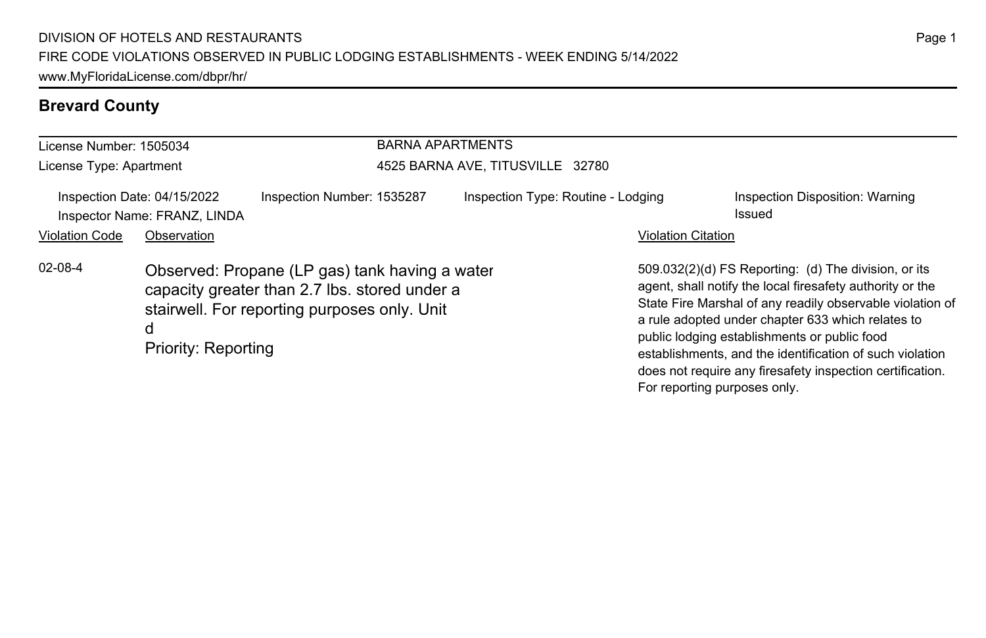### **Brevard County**

| License Number: 1505034<br>License Type: Apartment |                                                                            | <b>BARNA APARTMENTS</b><br>4525 BARNA AVE, TITUSVILLE 32780                                                                                     |  |                                    |                              |                                                                                                                                                                                                                                                                                                                                                                                                              |
|----------------------------------------------------|----------------------------------------------------------------------------|-------------------------------------------------------------------------------------------------------------------------------------------------|--|------------------------------------|------------------------------|--------------------------------------------------------------------------------------------------------------------------------------------------------------------------------------------------------------------------------------------------------------------------------------------------------------------------------------------------------------------------------------------------------------|
| <b>Violation Code</b>                              | Inspection Date: 04/15/2022<br>Inspector Name: FRANZ, LINDA<br>Observation | Inspection Number: 1535287                                                                                                                      |  | Inspection Type: Routine - Lodging | <b>Violation Citation</b>    | Inspection Disposition: Warning<br>Issued                                                                                                                                                                                                                                                                                                                                                                    |
| $02 - 08 - 4$                                      | d<br>Priority: Reporting                                                   | Observed: Propane (LP gas) tank having a water<br>capacity greater than 2.7 lbs. stored under a<br>stairwell. For reporting purposes only. Unit |  |                                    | For reporting purposes only. | 509.032(2)(d) FS Reporting: (d) The division, or its<br>agent, shall notify the local firesafety authority or the<br>State Fire Marshal of any readily observable violation of<br>a rule adopted under chapter 633 which relates to<br>public lodging establishments or public food<br>establishments, and the identification of such violation<br>does not require any firesafety inspection certification. |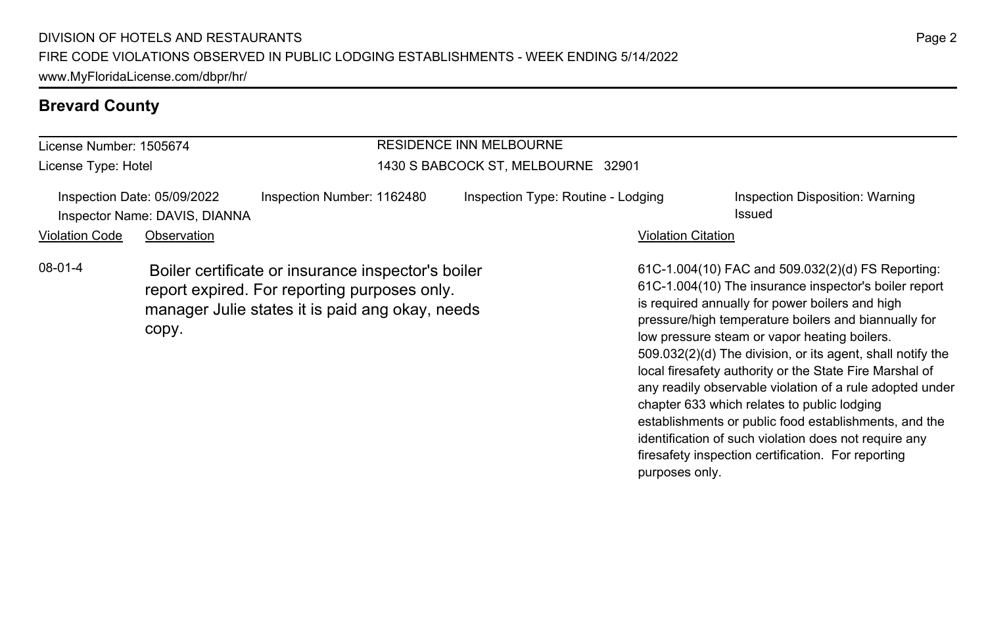#### **Brevard County**

#### License Number: 1505674 License Type: Hotel RESIDENCE INN MELBOURNE 1430 S BABCOCK ST, MELBOURNE 32901 Inspection Date: 05/09/2022 Inspection Number: 1162480 Inspection Type: Routine - Lodging Inspection Disposition: Warning Inspector Name: DAVIS, DIANNA Issued Violation Code Observation **Violation Code** Observation **Violation** Violation Citation Citation Citation Citation 61C-1.004(10) FAC and 509.032(2)(d) FS Reporting: 61C-1.004(10) The insurance inspector's boiler report is required annually for power boilers and high pressure/high temperature boilers and biannually for low pressure steam or vapor heating boilers. 509.032(2)(d) The division, or its agent, shall notify the local firesafety authority or the State Fire Marshal of any readily observable violation of a rule adopted under 08-01-4 Boiler certificate or insurance inspector's boiler report expired. For reporting purposes only. manager Julie states it is paid ang okay, needs copy.

chapter 633 which relates to public lodging

purposes only.

establishments or public food establishments, and the identification of such violation does not require any firesafety inspection certification. For reporting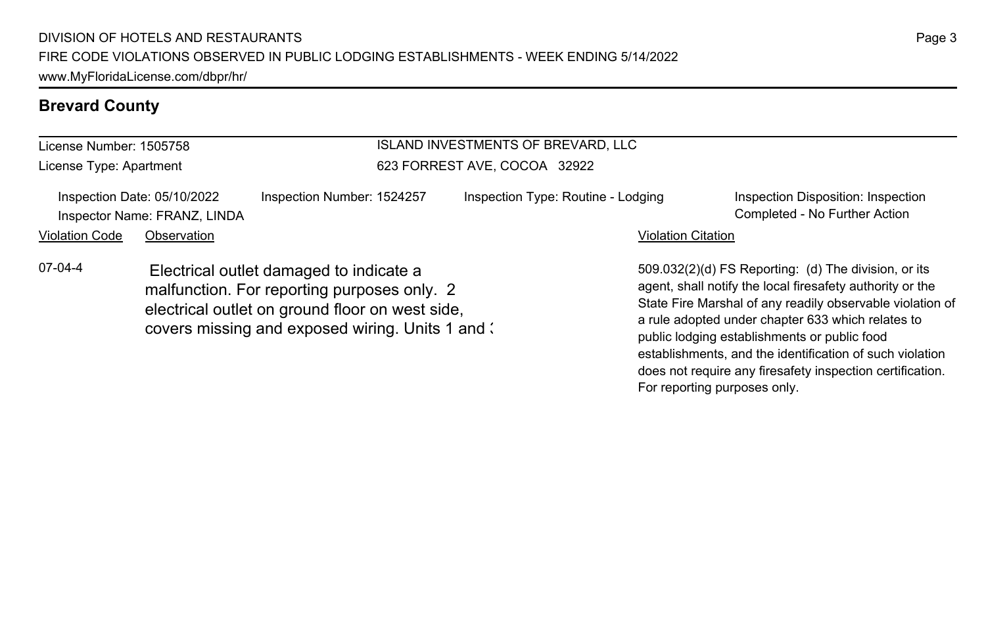#### **Brevard County**

#### License Number: 1505758 License Type: Apartment ISLAND INVESTMENTS OF BREVARD, LLC 623 FORREST AVE, COCOA 32922 Inspection Date: 05/10/2022 Inspection Number: 1524257 Inspection Type: Routine - Lodging Inspection Disposition: Inspection Inspector Name: FRANZ, LINDA Completed - No Further Action Violation Code Observation **Violation Code** Observation **Violation** Violation Citation Citation Citation Citation 509.032(2)(d) FS Reporting: (d) The division, or its agent, shall notify the local firesafety authority or the State Fire Marshal of any readily observable violation of a rule adopted under chapter 633 which relates to public lodging establishments or public food 07-04-4 Electrical outlet damaged to indicate a malfunction. For reporting purposes only. 2 electrical outlet on ground floor on west side, covers missing and exposed wiring. Units 1 and 3

establishments, and the identification of such violation does not require any firesafety inspection certification.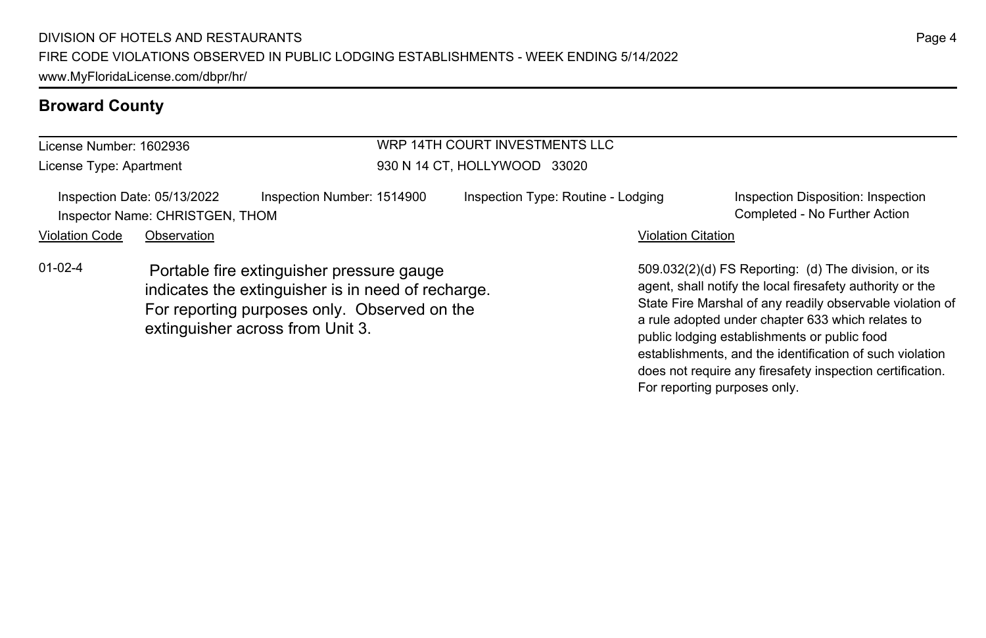| License Number: 1602936                                                                                                                                          |                                                                |                            | WRP 14TH COURT INVESTMENTS LLC     |                                                                                                                                                                                                                                  |
|------------------------------------------------------------------------------------------------------------------------------------------------------------------|----------------------------------------------------------------|----------------------------|------------------------------------|----------------------------------------------------------------------------------------------------------------------------------------------------------------------------------------------------------------------------------|
| License Type: Apartment                                                                                                                                          |                                                                |                            | 930 N 14 CT, HOLLYWOOD 33020       |                                                                                                                                                                                                                                  |
|                                                                                                                                                                  | Inspection Date: 05/13/2022<br>Inspector Name: CHRISTGEN, THOM | Inspection Number: 1514900 | Inspection Type: Routine - Lodging | Inspection Disposition: Inspection<br>Completed - No Further Action                                                                                                                                                              |
| <b>Violation Code</b>                                                                                                                                            | Observation                                                    |                            |                                    | Violation Citation                                                                                                                                                                                                               |
| $01 - 02 - 4$<br>Portable fire extinguisher pressure gauge<br>indicates the extinguisher is in need of recharge.<br>For reporting purposes only. Observed on the |                                                                |                            |                                    | 509.032(2)(d) FS Reporting: (d) The division, or its<br>agent, shall notify the local firesafety authority or the<br>State Fire Marshal of any readily observable violation<br>a rule adopted under chapter 633 which relates to |

extinguisher across from Unit 3.

State Fire Marshal of any readily observable violation of a rule adopted under chapter 633 which relates to public lodging establishments or public food establishments, and the identification of such violation does not require any firesafety inspection certification. For reporting purposes only.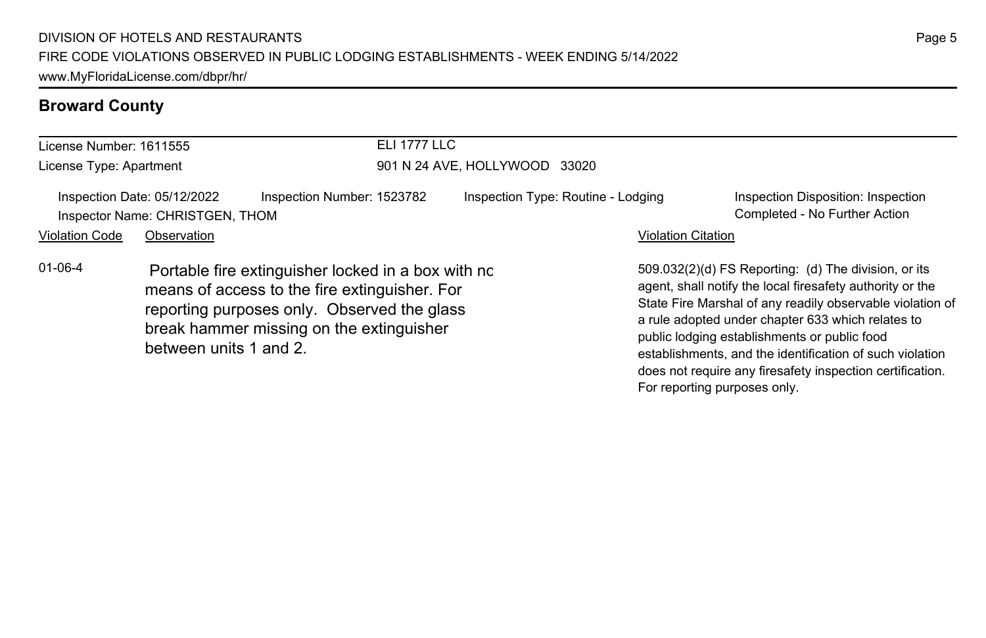| License Number: 1611555 |                                                                |                                                                                                                                                                                                | <b>ELI 1777 LLC</b>                |                           |                                                                                                                                                                                                                                                                                                                                                                                                              |  |  |
|-------------------------|----------------------------------------------------------------|------------------------------------------------------------------------------------------------------------------------------------------------------------------------------------------------|------------------------------------|---------------------------|--------------------------------------------------------------------------------------------------------------------------------------------------------------------------------------------------------------------------------------------------------------------------------------------------------------------------------------------------------------------------------------------------------------|--|--|
| License Type: Apartment |                                                                |                                                                                                                                                                                                | 901 N 24 AVE, HOLLYWOOD 33020      |                           |                                                                                                                                                                                                                                                                                                                                                                                                              |  |  |
|                         | Inspection Date: 05/12/2022<br>Inspector Name: CHRISTGEN, THOM | Inspection Number: 1523782                                                                                                                                                                     | Inspection Type: Routine - Lodging |                           | Inspection Disposition: Inspection<br>Completed - No Further Action                                                                                                                                                                                                                                                                                                                                          |  |  |
| <b>Violation Code</b>   | Observation                                                    |                                                                                                                                                                                                |                                    | <b>Violation Citation</b> |                                                                                                                                                                                                                                                                                                                                                                                                              |  |  |
| $01 - 06 - 4$           | between units 1 and 2.                                         | Portable fire extinguisher locked in a box with no<br>means of access to the fire extinguisher. For<br>reporting purposes only. Observed the glass<br>break hammer missing on the extinguisher |                                    |                           | 509.032(2)(d) FS Reporting: (d) The division, or its<br>agent, shall notify the local firesafety authority or the<br>State Fire Marshal of any readily observable violation of<br>a rule adopted under chapter 633 which relates to<br>public lodging establishments or public food<br>establishments, and the identification of such violation<br>does not require any firesafety inspection certification. |  |  |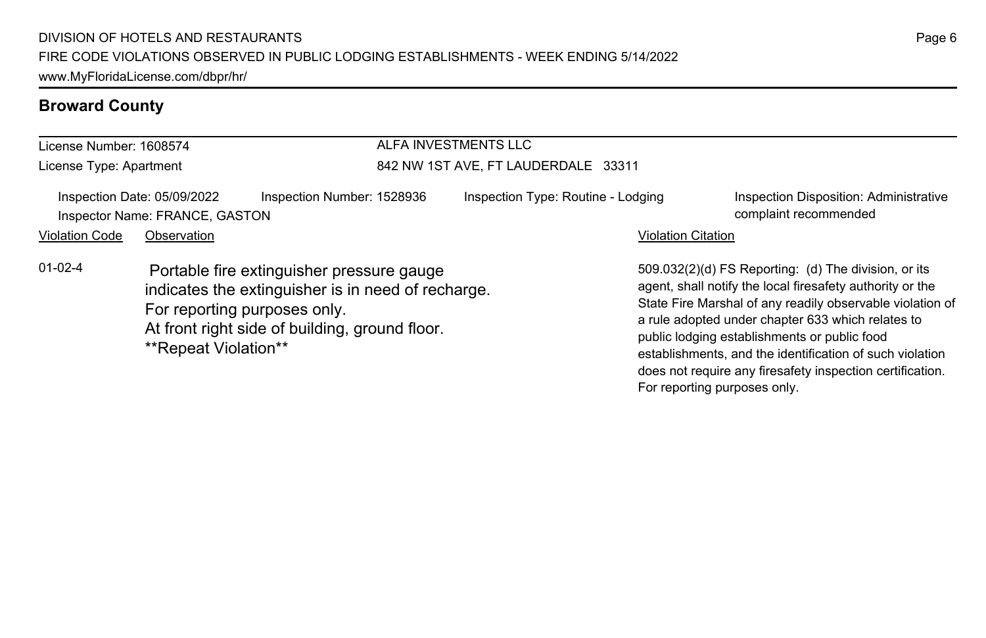| License Number: 1608574 |                                                               |                                                                                                                                                                                   | ALFA INVESTMENTS LLC                |                           |                                                                                                                                                                                                                                                                                                                                                                                                              |
|-------------------------|---------------------------------------------------------------|-----------------------------------------------------------------------------------------------------------------------------------------------------------------------------------|-------------------------------------|---------------------------|--------------------------------------------------------------------------------------------------------------------------------------------------------------------------------------------------------------------------------------------------------------------------------------------------------------------------------------------------------------------------------------------------------------|
| License Type: Apartment |                                                               |                                                                                                                                                                                   | 842 NW 1ST AVE, FT LAUDERDALE 33311 |                           |                                                                                                                                                                                                                                                                                                                                                                                                              |
|                         | Inspection Date: 05/09/2022<br>Inspector Name: FRANCE, GASTON | Inspection Number: 1528936                                                                                                                                                        | Inspection Type: Routine - Lodging  |                           | Inspection Disposition: Administrative<br>complaint recommended                                                                                                                                                                                                                                                                                                                                              |
| <b>Violation Code</b>   | Observation                                                   |                                                                                                                                                                                   |                                     | <b>Violation Citation</b> |                                                                                                                                                                                                                                                                                                                                                                                                              |
| $01-02-4$               | **Repeat Violation**                                          | Portable fire extinguisher pressure gauge<br>indicates the extinguisher is in need of recharge.<br>For reporting purposes only.<br>At front right side of building, ground floor. |                                     |                           | 509.032(2)(d) FS Reporting: (d) The division, or its<br>agent, shall notify the local firesafety authority or the<br>State Fire Marshal of any readily observable violation of<br>a rule adopted under chapter 633 which relates to<br>public lodging establishments or public food<br>establishments, and the identification of such violation<br>does not require any firesafety inspection certification. |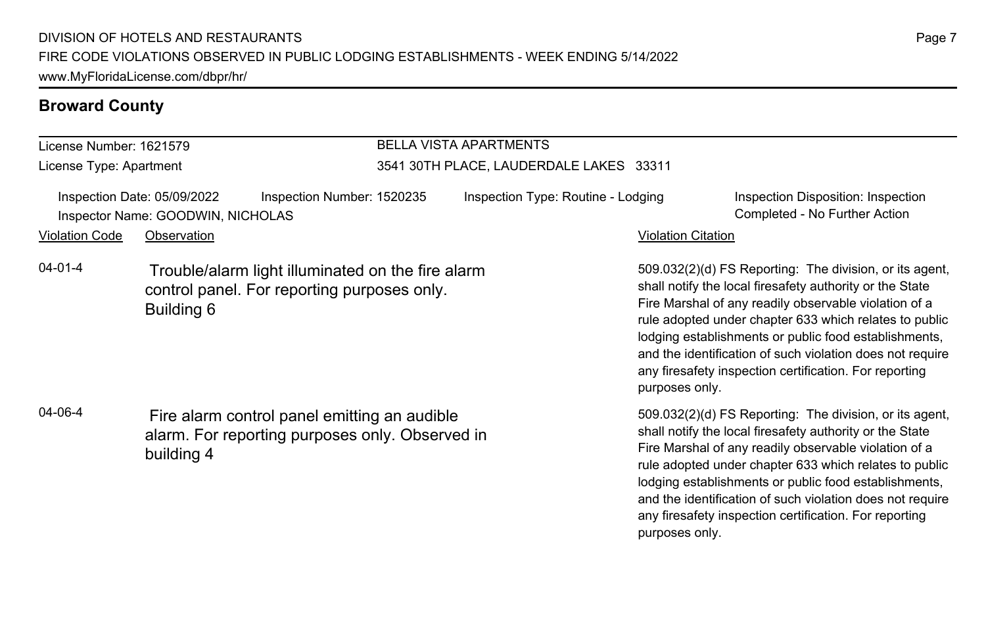#### License Number: 1621579

License Type: Apartment

## BELLA VISTA APARTMENTS

#### 3541 30TH PLACE, LAUDERDALE LAKES 33311

Inspection Date: 05/09/2022 Inspection Number: 1520235 Inspection Type: Routine - Lodging Inspection Disposition: Inspection Inspector Name: GOODWIN, NICHOLAS Completed - No Further Action

#### Violation Code Observation **Violation Code** Observation **Violation** Violation Citation Citation Citation Citation

04-01-4 Trouble/alarm light illuminated on the fire alarm control panel. For reporting purposes only. Building 6

04-06-4 Fire alarm control panel emitting an audible alarm. For reporting purposes only. Observed in building 4

509.032(2)(d) FS Reporting: The division, or its agent, shall notify the local firesafety authority or the State Fire Marshal of any readily observable violation of a rule adopted under chapter 633 which relates to public lodging establishments or public food establishments, and the identification of such violation does not require any firesafety inspection certification. For reporting purposes only.

509.032(2)(d) FS Reporting: The division, or its agent, shall notify the local firesafety authority or the State Fire Marshal of any readily observable violation of a rule adopted under chapter 633 which relates to public lodging establishments or public food establishments, and the identification of such violation does not require any firesafety inspection certification. For reporting purposes only.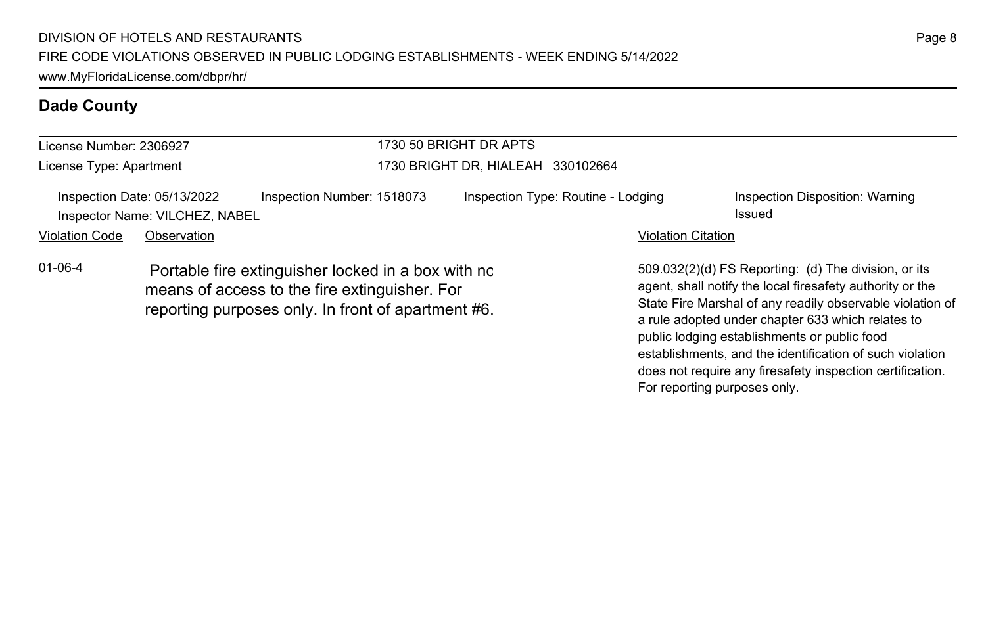| License Number: 2306927 |                                                               |                                                                                                                                                           | 1730 50 BRIGHT DR APTS            |                                    |                           |                                                                                                                                                                                                                                                                                                                                                                                                              |  |
|-------------------------|---------------------------------------------------------------|-----------------------------------------------------------------------------------------------------------------------------------------------------------|-----------------------------------|------------------------------------|---------------------------|--------------------------------------------------------------------------------------------------------------------------------------------------------------------------------------------------------------------------------------------------------------------------------------------------------------------------------------------------------------------------------------------------------------|--|
| License Type: Apartment |                                                               |                                                                                                                                                           | 1730 BRIGHT DR, HIALEAH 330102664 |                                    |                           |                                                                                                                                                                                                                                                                                                                                                                                                              |  |
|                         | Inspection Date: 05/13/2022<br>Inspector Name: VILCHEZ, NABEL | Inspection Number: 1518073                                                                                                                                |                                   | Inspection Type: Routine - Lodging |                           | Inspection Disposition: Warning<br>Issued                                                                                                                                                                                                                                                                                                                                                                    |  |
| <b>Violation Code</b>   | Observation                                                   |                                                                                                                                                           |                                   |                                    | <b>Violation Citation</b> |                                                                                                                                                                                                                                                                                                                                                                                                              |  |
| 01-06-4                 |                                                               | Portable fire extinguisher locked in a box with no<br>means of access to the fire extinguisher. For<br>reporting purposes only. In front of apartment #6. |                                   |                                    |                           | 509.032(2)(d) FS Reporting: (d) The division, or its<br>agent, shall notify the local firesafety authority or the<br>State Fire Marshal of any readily observable violation of<br>a rule adopted under chapter 633 which relates to<br>public lodging establishments or public food<br>establishments, and the identification of such violation<br>does not require any firesafety inspection certification. |  |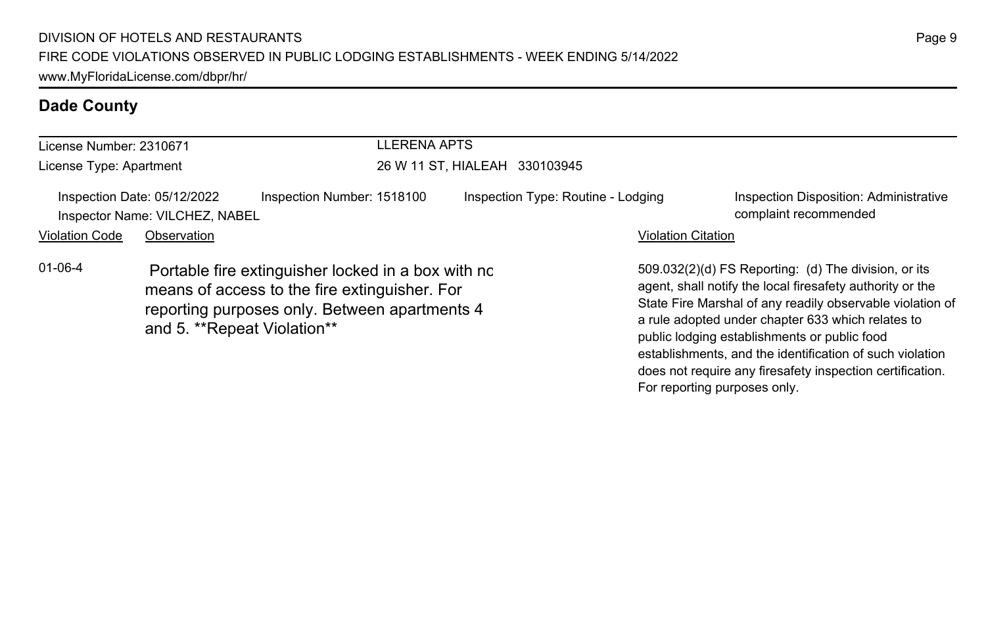| License Number: 2310671 |                                                               |                                                                                                                                                                                     | LLERENA APTS                       |                           |                                                                                                                                                                                                                                                                                                                                                 |  |  |
|-------------------------|---------------------------------------------------------------|-------------------------------------------------------------------------------------------------------------------------------------------------------------------------------------|------------------------------------|---------------------------|-------------------------------------------------------------------------------------------------------------------------------------------------------------------------------------------------------------------------------------------------------------------------------------------------------------------------------------------------|--|--|
| License Type: Apartment |                                                               |                                                                                                                                                                                     | 26 W 11 ST, HIALEAH 330103945      |                           |                                                                                                                                                                                                                                                                                                                                                 |  |  |
|                         | Inspection Date: 05/12/2022<br>Inspector Name: VILCHEZ, NABEL | Inspection Number: 1518100                                                                                                                                                          | Inspection Type: Routine - Lodging |                           | Inspection Disposition: Administrative<br>complaint recommended                                                                                                                                                                                                                                                                                 |  |  |
| <b>Violation Code</b>   | Observation                                                   |                                                                                                                                                                                     |                                    | <b>Violation Citation</b> |                                                                                                                                                                                                                                                                                                                                                 |  |  |
| $01 - 06 - 4$           |                                                               | Portable fire extinguisher locked in a box with no<br>means of access to the fire extinguisher. For<br>reporting purposes only. Between apartments 4<br>and 5. **Repeat Violation** |                                    |                           | 509.032(2)(d) FS Reporting: (d) The division, or its<br>agent, shall notify the local firesafety authority or the<br>State Fire Marshal of any readily observable violation of<br>a rule adopted under chapter 633 which relates to<br>public lodging establishments or public food<br>establishments, and the identification of such violation |  |  |

does not require any firesafety inspection certification.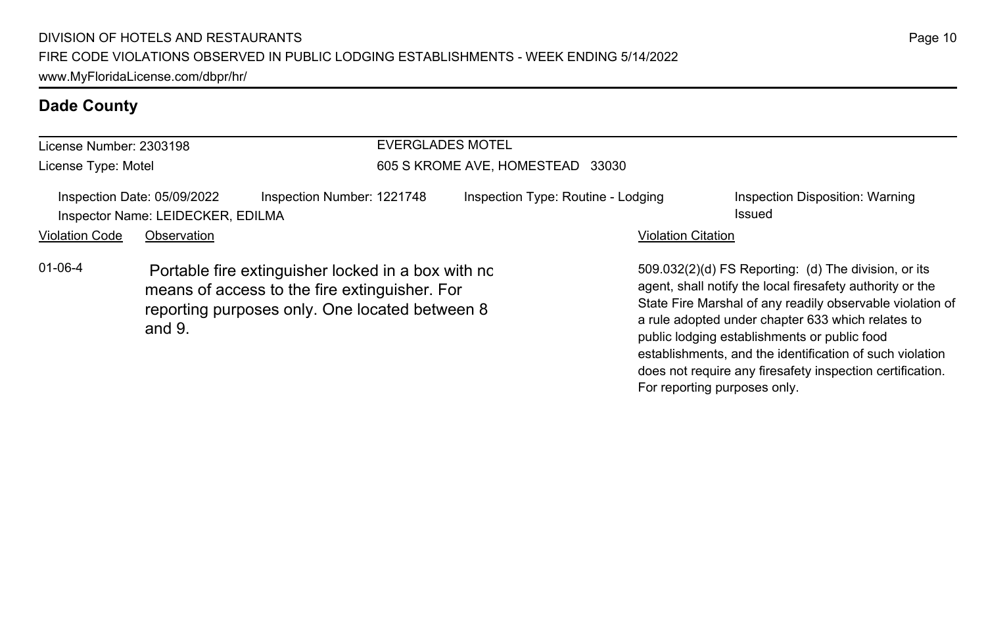| License Number: 2303198 |                                                                  |                                                                                                                                                       | <b>EVERGLADES MOTEL</b> |                                    |                           |                                                                                                                                                                                                                                                                                                                                                                                                              |  |
|-------------------------|------------------------------------------------------------------|-------------------------------------------------------------------------------------------------------------------------------------------------------|-------------------------|------------------------------------|---------------------------|--------------------------------------------------------------------------------------------------------------------------------------------------------------------------------------------------------------------------------------------------------------------------------------------------------------------------------------------------------------------------------------------------------------|--|
| License Type: Motel     |                                                                  |                                                                                                                                                       |                         | 605 S KROME AVE, HOMESTEAD 33030   |                           |                                                                                                                                                                                                                                                                                                                                                                                                              |  |
|                         | Inspection Date: 05/09/2022<br>Inspector Name: LEIDECKER, EDILMA | Inspection Number: 1221748                                                                                                                            |                         | Inspection Type: Routine - Lodging |                           | Inspection Disposition: Warning<br>Issued                                                                                                                                                                                                                                                                                                                                                                    |  |
| <b>Violation Code</b>   | Observation                                                      |                                                                                                                                                       |                         |                                    | <b>Violation Citation</b> |                                                                                                                                                                                                                                                                                                                                                                                                              |  |
| $01 - 06 - 4$           | and $9.$                                                         | Portable fire extinguisher locked in a box with no<br>means of access to the fire extinguisher. For<br>reporting purposes only. One located between 8 |                         |                                    |                           | 509.032(2)(d) FS Reporting: (d) The division, or its<br>agent, shall notify the local firesafety authority or the<br>State Fire Marshal of any readily observable violation of<br>a rule adopted under chapter 633 which relates to<br>public lodging establishments or public food<br>establishments, and the identification of such violation<br>does not require any firesafety inspection certification. |  |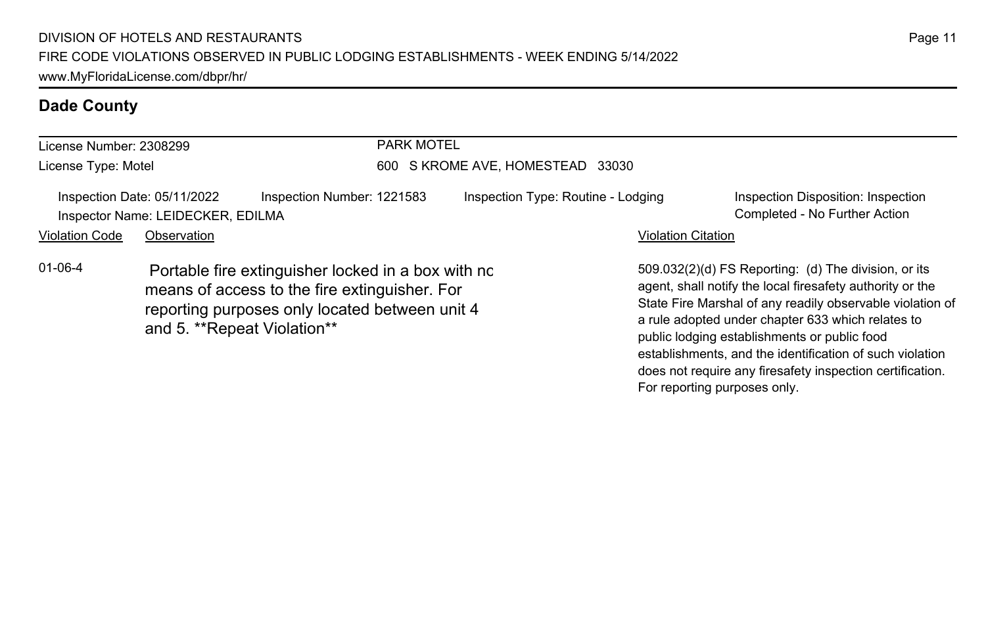| License Number: 2308299 |                                                                  | <b>PARK MOTEL</b>                                                                                                                                     |                                    |                           |                                                                                                                                                                                                                                                                                     |  |
|-------------------------|------------------------------------------------------------------|-------------------------------------------------------------------------------------------------------------------------------------------------------|------------------------------------|---------------------------|-------------------------------------------------------------------------------------------------------------------------------------------------------------------------------------------------------------------------------------------------------------------------------------|--|
| License Type: Motel     |                                                                  | 600                                                                                                                                                   | S KROME AVE, HOMESTEAD 33030       |                           |                                                                                                                                                                                                                                                                                     |  |
|                         | Inspection Date: 05/11/2022<br>Inspector Name: LEIDECKER, EDILMA | Inspection Number: 1221583                                                                                                                            | Inspection Type: Routine - Lodging |                           | Inspection Disposition: Inspection<br>Completed - No Further Action                                                                                                                                                                                                                 |  |
| <b>Violation Code</b>   | Observation                                                      |                                                                                                                                                       |                                    | <b>Violation Citation</b> |                                                                                                                                                                                                                                                                                     |  |
| $01 - 06 - 4$           | and 5. **Repeat Violation**                                      | Portable fire extinguisher locked in a box with nc<br>means of access to the fire extinguisher. For<br>reporting purposes only located between unit 4 |                                    |                           | 509.032(2)(d) FS Reporting: (d) The division, or its<br>agent, shall notify the local firesafety authority or the<br>State Fire Marshal of any readily observable violation of<br>a rule adopted under chapter 633 which relates to<br>public lodging establishments or public food |  |

establishments, and the identification of such violation does not require any firesafety inspection certification.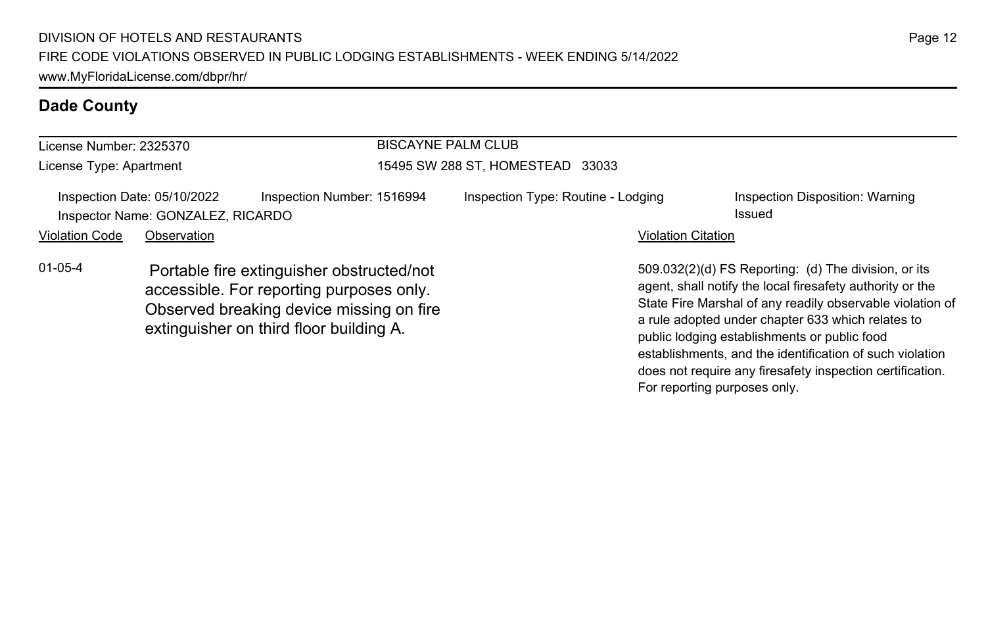| License Number: 2325370 |                                                                  |                                                                                                                                                                              | <b>BISCAYNE PALM CLUB</b>          |                                                                                                                                                                                                                                                                                     |  |  |
|-------------------------|------------------------------------------------------------------|------------------------------------------------------------------------------------------------------------------------------------------------------------------------------|------------------------------------|-------------------------------------------------------------------------------------------------------------------------------------------------------------------------------------------------------------------------------------------------------------------------------------|--|--|
| License Type: Apartment |                                                                  |                                                                                                                                                                              | 15495 SW 288 ST, HOMESTEAD 33033   |                                                                                                                                                                                                                                                                                     |  |  |
|                         | Inspection Date: 05/10/2022<br>Inspector Name: GONZALEZ, RICARDO | Inspection Number: 1516994                                                                                                                                                   | Inspection Type: Routine - Lodging | Inspection Disposition: Warning<br>Issued                                                                                                                                                                                                                                           |  |  |
| <b>Violation Code</b>   | Observation                                                      |                                                                                                                                                                              | <b>Violation Citation</b>          |                                                                                                                                                                                                                                                                                     |  |  |
| $01 - 05 - 4$           |                                                                  | Portable fire extinguisher obstructed/not<br>accessible. For reporting purposes only.<br>Observed breaking device missing on fire<br>extinguisher on third floor building A. |                                    | 509.032(2)(d) FS Reporting: (d) The division, or its<br>agent, shall notify the local firesafety authority or the<br>State Fire Marshal of any readily observable violation of<br>a rule adopted under chapter 633 which relates to<br>public lodging establishments or public food |  |  |

Page 12

establishments, and the identification of such violation does not require any firesafety inspection certification.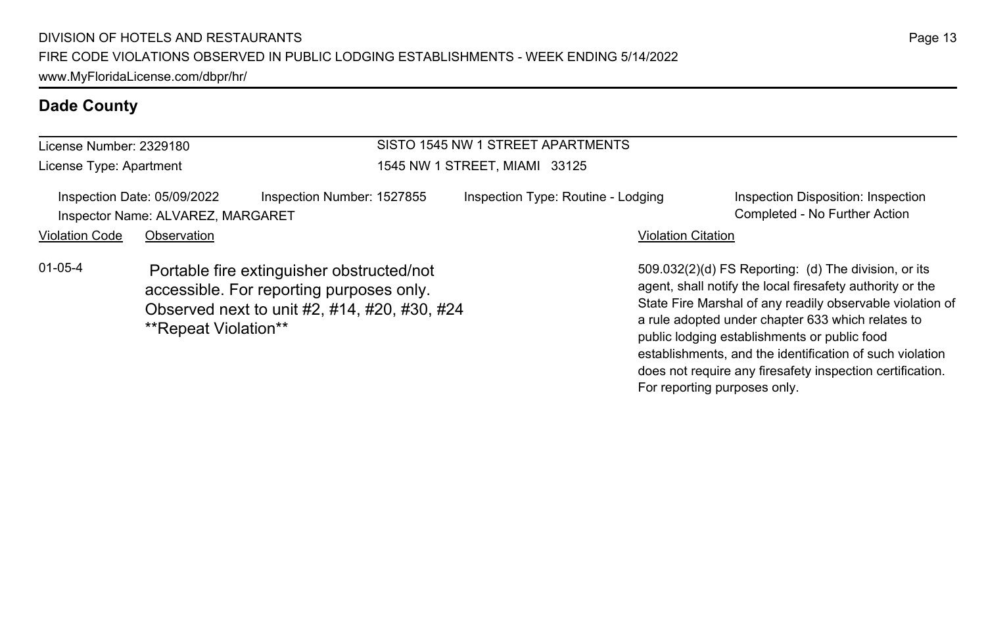| License Number: 2329180 |                                                                  |                                                                                                                                       | SISTO 1545 NW 1 STREET APARTMENTS  |                                                                                                                                                                                                                                                                                     |  |  |
|-------------------------|------------------------------------------------------------------|---------------------------------------------------------------------------------------------------------------------------------------|------------------------------------|-------------------------------------------------------------------------------------------------------------------------------------------------------------------------------------------------------------------------------------------------------------------------------------|--|--|
| License Type: Apartment |                                                                  |                                                                                                                                       | 1545 NW 1 STREET, MIAMI 33125      |                                                                                                                                                                                                                                                                                     |  |  |
|                         | Inspection Date: 05/09/2022<br>Inspector Name: ALVAREZ, MARGARET | Inspection Number: 1527855                                                                                                            | Inspection Type: Routine - Lodging | Inspection Disposition: Inspection<br>Completed - No Further Action                                                                                                                                                                                                                 |  |  |
| <b>Violation Code</b>   | Observation                                                      |                                                                                                                                       |                                    | <b>Violation Citation</b>                                                                                                                                                                                                                                                           |  |  |
| $01-05-4$               | **Repeat Violation**                                             | Portable fire extinguisher obstructed/not<br>accessible. For reporting purposes only.<br>Observed next to unit #2, #14, #20, #30, #24 |                                    | 509.032(2)(d) FS Reporting: (d) The division, or its<br>agent, shall notify the local firesafety authority or the<br>State Fire Marshal of any readily observable violation of<br>a rule adopted under chapter 633 which relates to<br>public lodging establishments or public food |  |  |

establishments, and the identification of such violation does not require any firesafety inspection certification.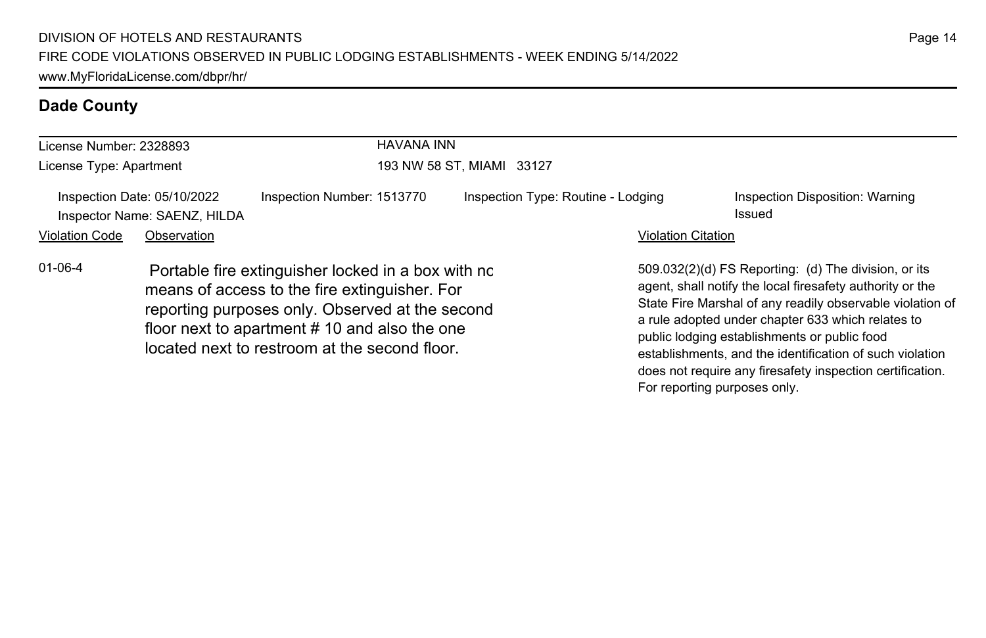| License Number: 2328893 |                                                             | <b>HAVANA INN</b>                                                                                                                                                                                                                                       |                                    |                           |                                                                                                                                                                                                                                                                                                                                                                                                              |  |  |
|-------------------------|-------------------------------------------------------------|---------------------------------------------------------------------------------------------------------------------------------------------------------------------------------------------------------------------------------------------------------|------------------------------------|---------------------------|--------------------------------------------------------------------------------------------------------------------------------------------------------------------------------------------------------------------------------------------------------------------------------------------------------------------------------------------------------------------------------------------------------------|--|--|
| License Type: Apartment |                                                             |                                                                                                                                                                                                                                                         | 193 NW 58 ST, MIAMI 33127          |                           |                                                                                                                                                                                                                                                                                                                                                                                                              |  |  |
|                         | Inspection Date: 05/10/2022<br>Inspector Name: SAENZ, HILDA | Inspection Number: 1513770                                                                                                                                                                                                                              | Inspection Type: Routine - Lodging |                           | Inspection Disposition: Warning<br>Issued                                                                                                                                                                                                                                                                                                                                                                    |  |  |
| <b>Violation Code</b>   | Observation                                                 |                                                                                                                                                                                                                                                         |                                    | <b>Violation Citation</b> |                                                                                                                                                                                                                                                                                                                                                                                                              |  |  |
| $01 - 06 - 4$           |                                                             | Portable fire extinguisher locked in a box with no<br>means of access to the fire extinguisher. For<br>reporting purposes only. Observed at the second<br>floor next to apartment #10 and also the one<br>located next to restroom at the second floor. |                                    |                           | 509.032(2)(d) FS Reporting: (d) The division, or its<br>agent, shall notify the local firesafety authority or the<br>State Fire Marshal of any readily observable violation of<br>a rule adopted under chapter 633 which relates to<br>public lodging establishments or public food<br>establishments, and the identification of such violation<br>does not require any firesafety inspection certification. |  |  |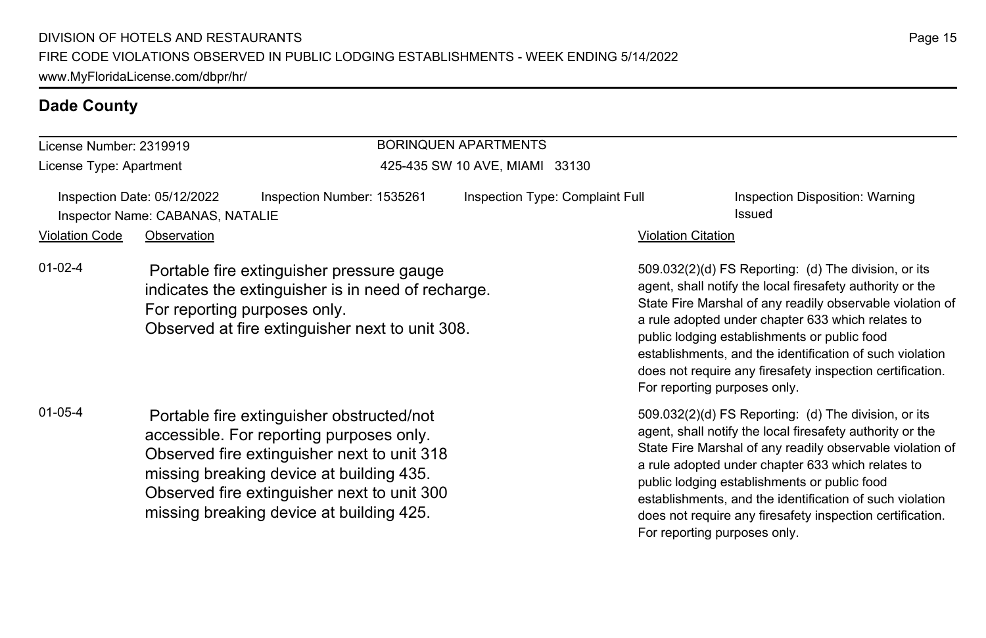missing breaking device at building 425.

#### **Dade County**

#### License Number: 2319919 License Type: Apartment BORINQUEN APARTMENTS 425-435 SW 10 AVE, MIAMI 33130 Inspection Date: 05/12/2022 Inspection Number: 1535261 Inspection Type: Complaint Full Inspection Disposition: Warning Inspector Name: CABANAS, NATALIE issued and the state of the state of the state of the state of the state of the state of the state of the state of the state of the state of the state of the state of the state of the state Violation Code Observation **Violation Code** Observation **Violation** Violation Citation Citation Citation Citation 509.032(2)(d) FS Reporting: (d) The division, or its agent, shall notify the local firesafety authority or the State Fire Marshal of any readily observable violation of a rule adopted under chapter 633 which relates to public lodging establishments or public food establishments, and the identification of such violation does not require any firesafety inspection certification. For reporting purposes only. 01-02-4 Portable fire extinguisher pressure gauge indicates the extinguisher is in need of recharge. For reporting purposes only. Observed at fire extinguisher next to unit 308. 509.032(2)(d) FS Reporting: (d) The division, or its agent, shall notify the local firesafety authority or the State Fire Marshal of any readily observable violation of a rule adopted under chapter 633 which relates to public lodging establishments or public food 01-05-4 Portable fire extinguisher obstructed/not accessible. For reporting purposes only. Observed fire extinguisher next to unit 318 missing breaking device at building 435. Observed fire extinguisher next to unit 300

establishments, and the identification of such violation does not require any firesafety inspection certification.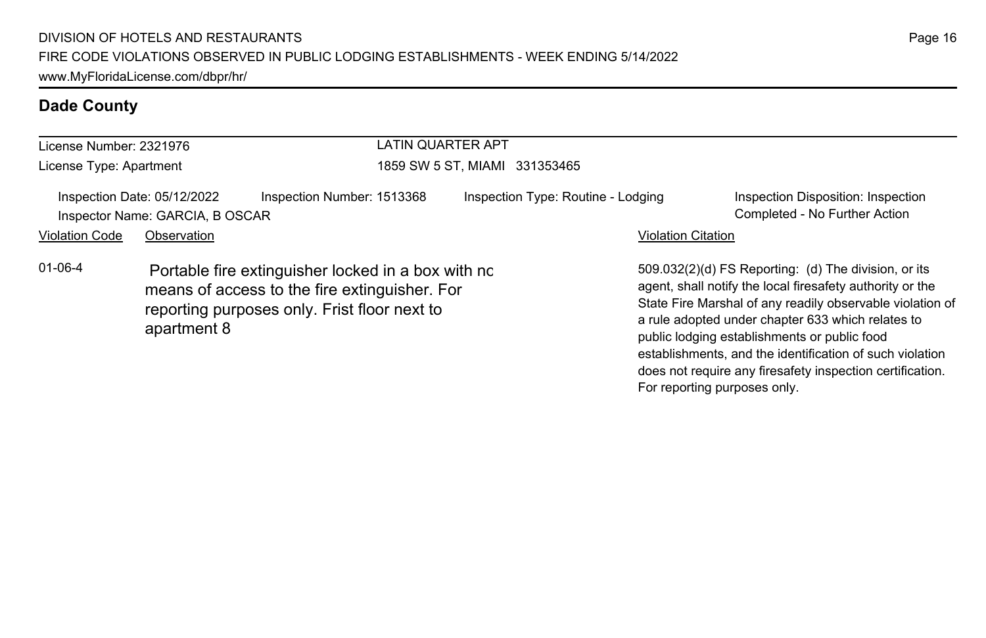| License Number: 2321976 |                                                                |                                                                                                                                                     | LATIN QUARTER APT |                                    |                           |                                                                                                                                                                                                                                                                                                                                                                                                              |
|-------------------------|----------------------------------------------------------------|-----------------------------------------------------------------------------------------------------------------------------------------------------|-------------------|------------------------------------|---------------------------|--------------------------------------------------------------------------------------------------------------------------------------------------------------------------------------------------------------------------------------------------------------------------------------------------------------------------------------------------------------------------------------------------------------|
| License Type: Apartment |                                                                | 1859 SW 5 ST, MIAMI 331353465                                                                                                                       |                   |                                    |                           |                                                                                                                                                                                                                                                                                                                                                                                                              |
|                         | Inspection Date: 05/12/2022<br>Inspector Name: GARCIA, B OSCAR | Inspection Number: 1513368                                                                                                                          |                   | Inspection Type: Routine - Lodging |                           | Inspection Disposition: Inspection<br>Completed - No Further Action                                                                                                                                                                                                                                                                                                                                          |
| <b>Violation Code</b>   | Observation                                                    |                                                                                                                                                     |                   |                                    | <b>Violation Citation</b> |                                                                                                                                                                                                                                                                                                                                                                                                              |
| $01 - 06 - 4$           | apartment 8                                                    | Portable fire extinguisher locked in a box with no<br>means of access to the fire extinguisher. For<br>reporting purposes only. Frist floor next to |                   |                                    |                           | 509.032(2)(d) FS Reporting: (d) The division, or its<br>agent, shall notify the local firesafety authority or the<br>State Fire Marshal of any readily observable violation of<br>a rule adopted under chapter 633 which relates to<br>public lodging establishments or public food<br>establishments, and the identification of such violation<br>does not require any firesafety inspection certification. |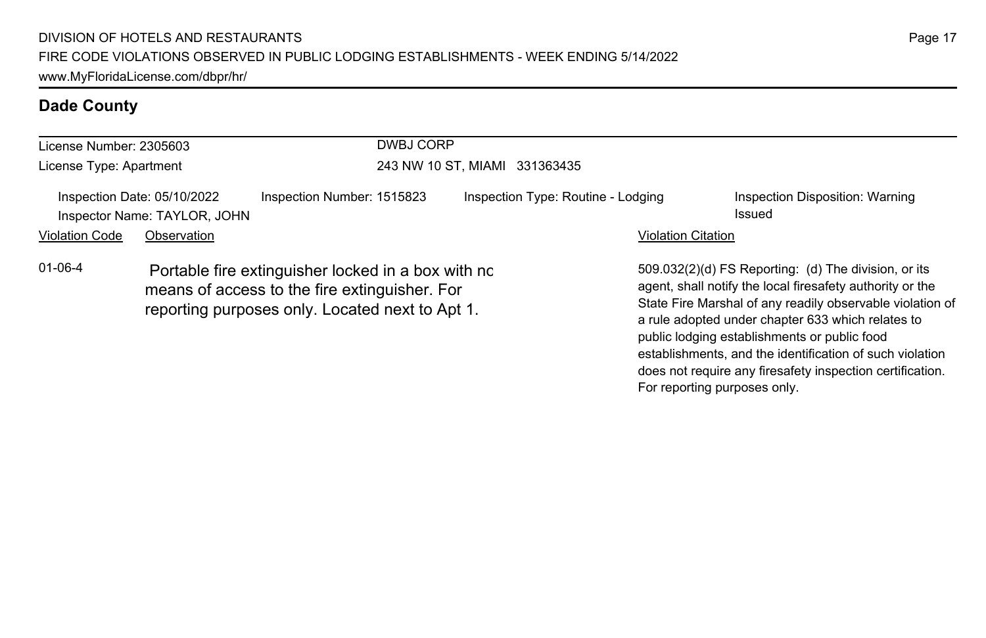| License Number: 2305603 |                                                             |                                                                                                                                                        | DWBJ CORP                     |                                    |                              |                                                                                                                                                                                                                                                                                                                                                                                                              |  |
|-------------------------|-------------------------------------------------------------|--------------------------------------------------------------------------------------------------------------------------------------------------------|-------------------------------|------------------------------------|------------------------------|--------------------------------------------------------------------------------------------------------------------------------------------------------------------------------------------------------------------------------------------------------------------------------------------------------------------------------------------------------------------------------------------------------------|--|
| License Type: Apartment |                                                             |                                                                                                                                                        | 243 NW 10 ST, MIAMI 331363435 |                                    |                              |                                                                                                                                                                                                                                                                                                                                                                                                              |  |
|                         | Inspection Date: 05/10/2022<br>Inspector Name: TAYLOR, JOHN | Inspection Number: 1515823                                                                                                                             |                               | Inspection Type: Routine - Lodging |                              | Inspection Disposition: Warning<br>Issued                                                                                                                                                                                                                                                                                                                                                                    |  |
| <b>Violation Code</b>   | Observation                                                 |                                                                                                                                                        |                               |                                    | <b>Violation Citation</b>    |                                                                                                                                                                                                                                                                                                                                                                                                              |  |
| $01 - 06 - 4$           |                                                             | Portable fire extinguisher locked in a box with no<br>means of access to the fire extinguisher. For<br>reporting purposes only. Located next to Apt 1. |                               |                                    | For reporting purposes only. | 509.032(2)(d) FS Reporting: (d) The division, or its<br>agent, shall notify the local firesafety authority or the<br>State Fire Marshal of any readily observable violation of<br>a rule adopted under chapter 633 which relates to<br>public lodging establishments or public food<br>establishments, and the identification of such violation<br>does not require any firesafety inspection certification. |  |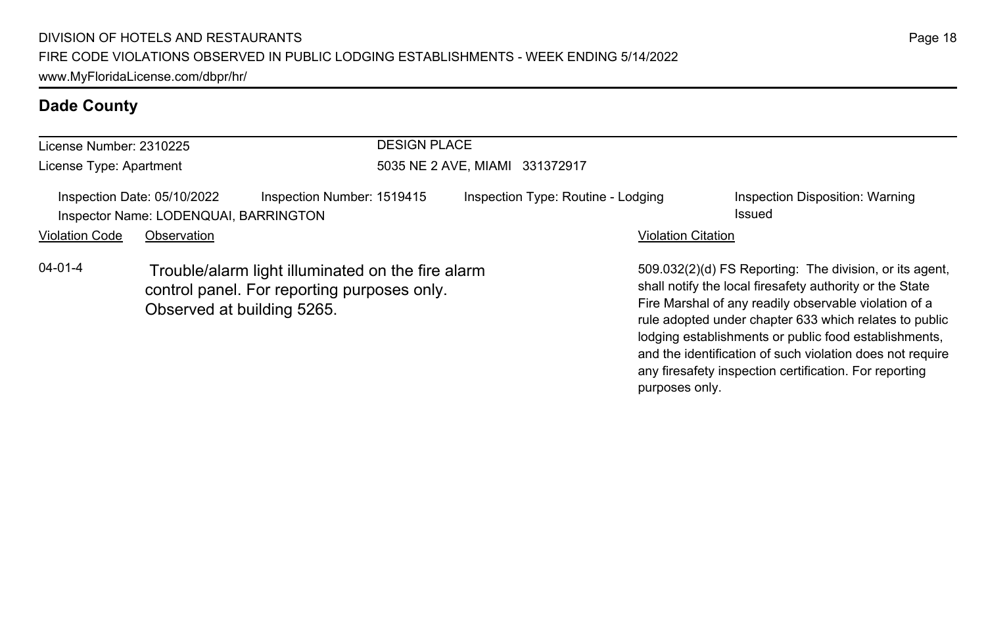| License Number: 2310225 |                                                                      |                                                                                                  | <b>DESIGN PLACE</b>                |                           |                                                                                                                                                                                                                                        |  |  |
|-------------------------|----------------------------------------------------------------------|--------------------------------------------------------------------------------------------------|------------------------------------|---------------------------|----------------------------------------------------------------------------------------------------------------------------------------------------------------------------------------------------------------------------------------|--|--|
| License Type: Apartment |                                                                      | 5035 NE 2 AVE, MIAMI 331372917                                                                   |                                    |                           |                                                                                                                                                                                                                                        |  |  |
|                         | Inspection Date: 05/10/2022<br>Inspector Name: LODENQUAI, BARRINGTON | Inspection Number: 1519415                                                                       | Inspection Type: Routine - Lodging |                           | Inspection Disposition: Warning<br>Issued                                                                                                                                                                                              |  |  |
| <b>Violation Code</b>   | Observation                                                          |                                                                                                  |                                    | <b>Violation Citation</b> |                                                                                                                                                                                                                                        |  |  |
| 04-01-4                 | Observed at building 5265.                                           | Trouble/alarm light illuminated on the fire alarm<br>control panel. For reporting purposes only. |                                    |                           | 509.032(2)(d) FS Reporting: The division, or its agent,<br>shall notify the local firesafety authority or the State<br>Fire Marshal of any readily observable violation of a<br>rule adopted under chapter 633 which relates to public |  |  |

lodging establishments or public food establishments, and the identification of such violation does not require any firesafety inspection certification. For reporting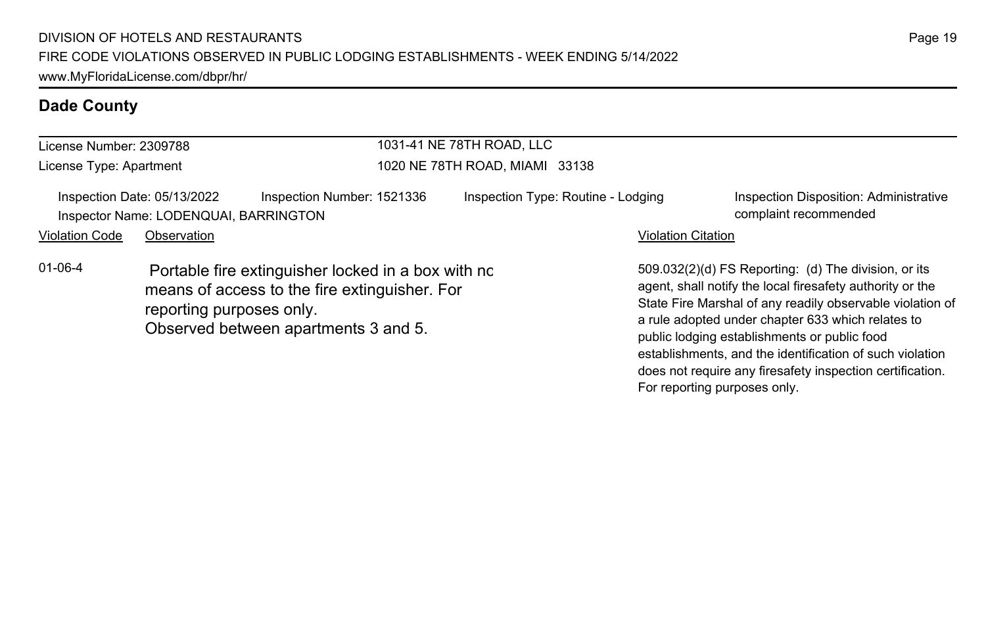| License Number: 2309788 |                                                                                     |                                                                                                                                             | 1031-41 NE 78TH ROAD, LLC      |                                                                 |                                                                                                                                                                                                                                                                                                                                                 |
|-------------------------|-------------------------------------------------------------------------------------|---------------------------------------------------------------------------------------------------------------------------------------------|--------------------------------|-----------------------------------------------------------------|-------------------------------------------------------------------------------------------------------------------------------------------------------------------------------------------------------------------------------------------------------------------------------------------------------------------------------------------------|
| License Type: Apartment |                                                                                     |                                                                                                                                             | 1020 NE 78TH ROAD, MIAMI 33138 |                                                                 |                                                                                                                                                                                                                                                                                                                                                 |
| <b>Violation Code</b>   | Inspection Date: 05/13/2022<br>Inspector Name: LODENQUAI, BARRINGTON<br>Observation | Inspection Number: 1521336                                                                                                                  |                                | Inspection Type: Routine - Lodging<br><b>Violation Citation</b> | Inspection Disposition: Administrative<br>complaint recommended                                                                                                                                                                                                                                                                                 |
| $01 - 06 - 4$           | reporting purposes only.                                                            | Portable fire extinguisher locked in a box with no<br>means of access to the fire extinguisher. For<br>Observed between apartments 3 and 5. |                                |                                                                 | 509.032(2)(d) FS Reporting: (d) The division, or its<br>agent, shall notify the local firesafety authority or the<br>State Fire Marshal of any readily observable violation of<br>a rule adopted under chapter 633 which relates to<br>public lodging establishments or public food<br>establishments, and the identification of such violation |

does not require any firesafety inspection certification.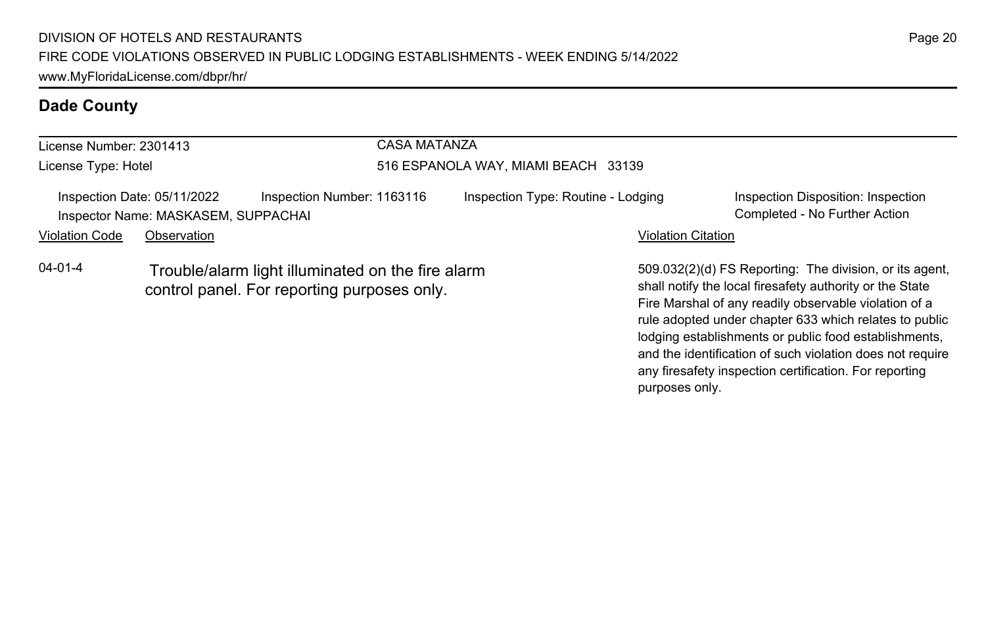| License Number: 2301413<br>License Type: Hotel |             |                                                                                                  | CASA MATANZA<br>516 ESPANOLA WAY, MIAMI BEACH 33139 |                           |                                                                                                                                                                              |  |  |
|------------------------------------------------|-------------|--------------------------------------------------------------------------------------------------|-----------------------------------------------------|---------------------------|------------------------------------------------------------------------------------------------------------------------------------------------------------------------------|--|--|
|                                                |             |                                                                                                  |                                                     |                           |                                                                                                                                                                              |  |  |
| <b>Violation Code</b>                          | Observation |                                                                                                  |                                                     | <b>Violation Citation</b> |                                                                                                                                                                              |  |  |
| $04 - 01 - 4$                                  |             | Trouble/alarm light illuminated on the fire alarm<br>control panel. For reporting purposes only. |                                                     |                           | 509.032(2)(d) FS Reporting: The division, or its agent,<br>shall notify the local firesafety authority or the State<br>Fire Marshal of any readily observable violation of a |  |  |

rule adopted under chapter 633 which relates to public lodging establishments or public food establishments, and the identification of such violation does not require any firesafety inspection certification. For reporting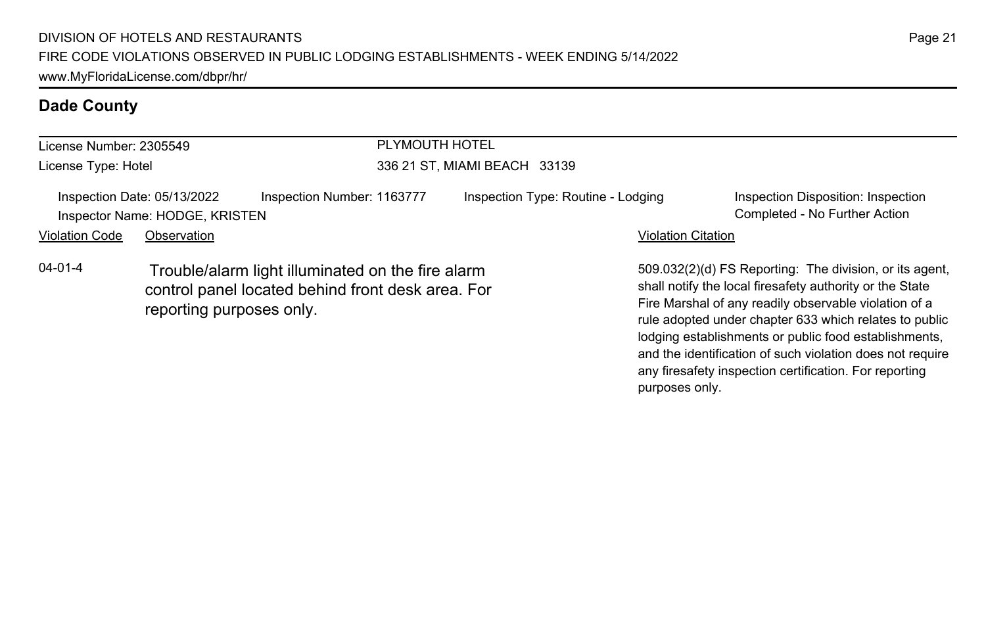| License Number: 2305549 |                                                               |                                                                                                        | PLYMOUTH HOTEL                     |                           |                                                                                                                                                                                                                                        |  |  |
|-------------------------|---------------------------------------------------------------|--------------------------------------------------------------------------------------------------------|------------------------------------|---------------------------|----------------------------------------------------------------------------------------------------------------------------------------------------------------------------------------------------------------------------------------|--|--|
| License Type: Hotel     |                                                               | 336 21 ST, MIAMI BEACH 33139                                                                           |                                    |                           |                                                                                                                                                                                                                                        |  |  |
|                         | Inspection Date: 05/13/2022<br>Inspector Name: HODGE, KRISTEN | Inspection Number: 1163777                                                                             | Inspection Type: Routine - Lodging |                           | Inspection Disposition: Inspection<br>Completed - No Further Action                                                                                                                                                                    |  |  |
| <b>Violation Code</b>   | Observation                                                   |                                                                                                        |                                    | <b>Violation Citation</b> |                                                                                                                                                                                                                                        |  |  |
| $04 - 01 - 4$           | reporting purposes only.                                      | Trouble/alarm light illuminated on the fire alarm<br>control panel located behind front desk area. For |                                    |                           | 509.032(2)(d) FS Reporting: The division, or its agent,<br>shall notify the local firesafety authority or the State<br>Fire Marshal of any readily observable violation of a<br>rule adopted under chapter 633 which relates to public |  |  |

lodging establishments or public food establishments, and the identification of such violation does not require any firesafety inspection certification. For reporting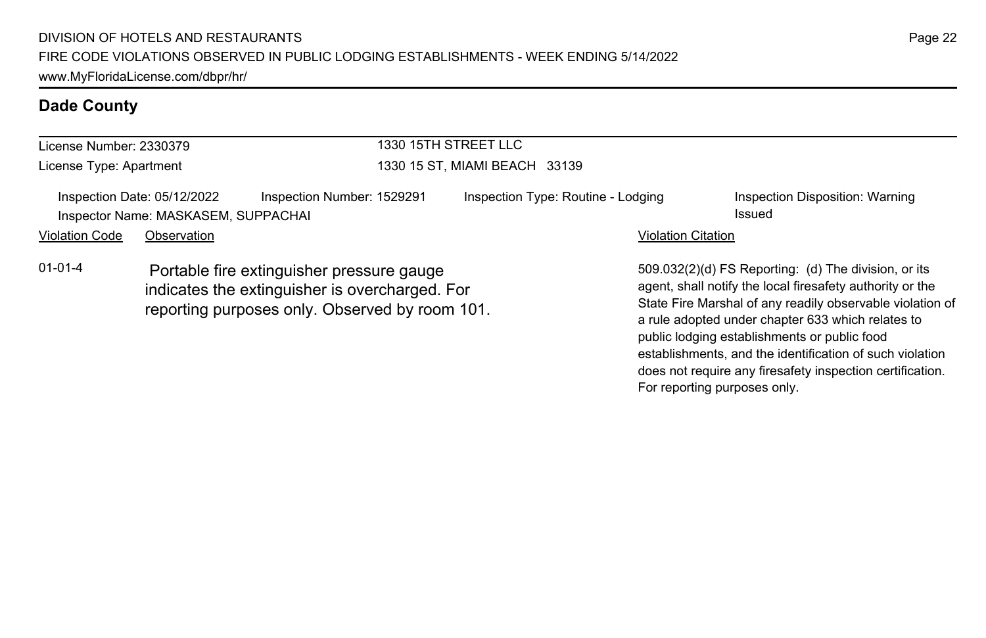| License Number: 2330379                                            |             |                                                                                                                                               | 1330 15TH STREET LLC          |                                    |                           |                                                                                                                                                                                                                                     |  |
|--------------------------------------------------------------------|-------------|-----------------------------------------------------------------------------------------------------------------------------------------------|-------------------------------|------------------------------------|---------------------------|-------------------------------------------------------------------------------------------------------------------------------------------------------------------------------------------------------------------------------------|--|
| License Type: Apartment                                            |             |                                                                                                                                               | 1330 15 ST, MIAMI BEACH 33139 |                                    |                           |                                                                                                                                                                                                                                     |  |
| Inspection Date: 05/12/2022<br>Inspector Name: MASKASEM, SUPPACHAI |             | Inspection Number: 1529291                                                                                                                    |                               | Inspection Type: Routine - Lodging |                           | Inspection Disposition: Warning<br>Issued                                                                                                                                                                                           |  |
| <b>Violation Code</b>                                              | Observation |                                                                                                                                               |                               |                                    | <b>Violation Citation</b> |                                                                                                                                                                                                                                     |  |
| $01 - 01 - 4$                                                      |             | Portable fire extinguisher pressure gauge<br>indicates the extinguisher is overcharged. For<br>reporting purposes only. Observed by room 101. |                               |                                    |                           | 509.032(2)(d) FS Reporting: (d) The division, or its<br>agent, shall notify the local firesafety authority or the<br>State Fire Marshal of any readily observable violation of<br>a rule adopted under chapter 633 which relates to |  |

Page 22

public lodging establishments or public food

For reporting purposes only.

establishments, and the identification of such violation does not require any firesafety inspection certification.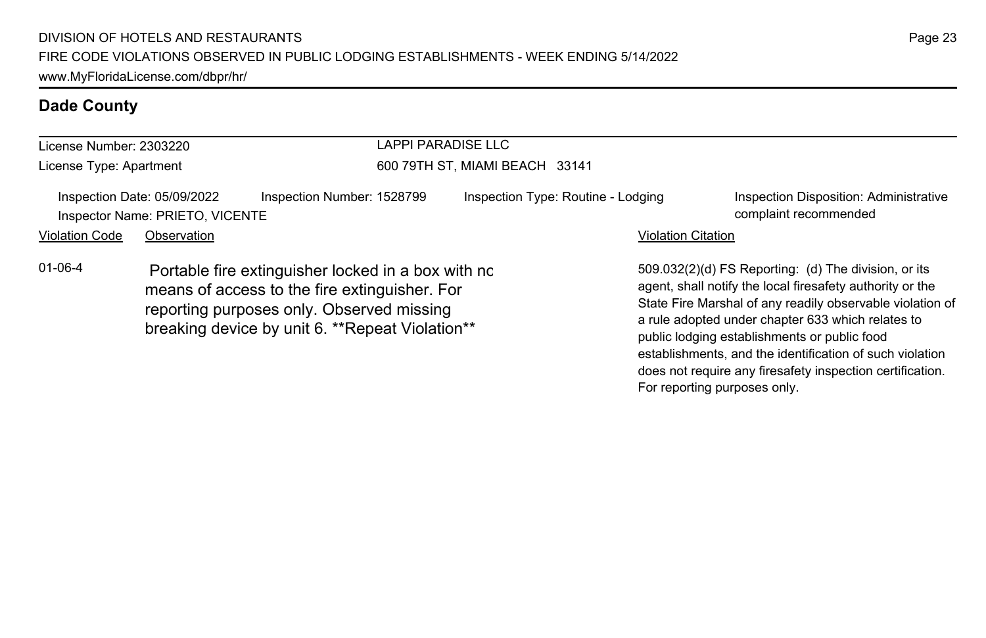| License Number: 2303220 |                                                                |                                                                                                                                                                                                      | LAPPI PARADISE LLC                 |                           |                                                                                                                                                                                                                                                                                     |  |  |
|-------------------------|----------------------------------------------------------------|------------------------------------------------------------------------------------------------------------------------------------------------------------------------------------------------------|------------------------------------|---------------------------|-------------------------------------------------------------------------------------------------------------------------------------------------------------------------------------------------------------------------------------------------------------------------------------|--|--|
| License Type: Apartment |                                                                |                                                                                                                                                                                                      | 600 79TH ST, MIAMI BEACH 33141     |                           |                                                                                                                                                                                                                                                                                     |  |  |
|                         | Inspection Date: 05/09/2022<br>Inspector Name: PRIETO, VICENTE | Inspection Number: 1528799                                                                                                                                                                           | Inspection Type: Routine - Lodging |                           | Inspection Disposition: Administrative<br>complaint recommended                                                                                                                                                                                                                     |  |  |
| <b>Violation Code</b>   | Observation                                                    |                                                                                                                                                                                                      |                                    | <b>Violation Citation</b> |                                                                                                                                                                                                                                                                                     |  |  |
| $01 - 06 - 4$           |                                                                | Portable fire extinguisher locked in a box with nc<br>means of access to the fire extinguisher. For<br>reporting purposes only. Observed missing<br>breaking device by unit 6. ** Repeat Violation** |                                    |                           | 509.032(2)(d) FS Reporting: (d) The division, or its<br>agent, shall notify the local firesafety authority or the<br>State Fire Marshal of any readily observable violation of<br>a rule adopted under chapter 633 which relates to<br>public lodging establishments or public food |  |  |

Page 23

establishments, and the identification of such violation does not require any firesafety inspection certification.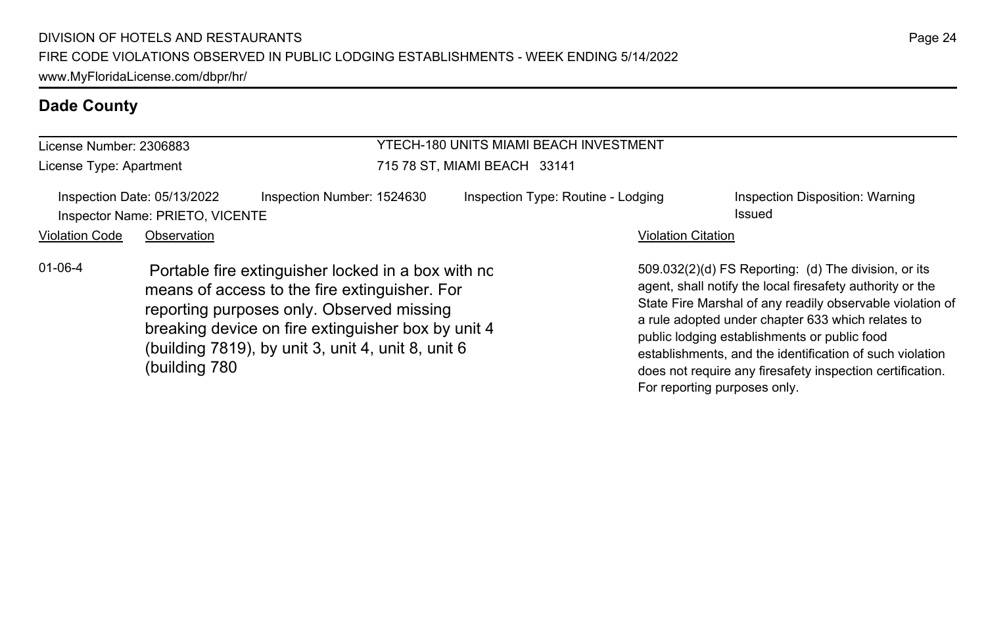| License Number: 2306883                                        |               |                                                                                                                                                                                                                                                              | YTECH-180 UNITS MIAMI BEACH INVESTMENT |                              |                                                                                                                                                                                                                                                                                                                                                                                                              |  |  |
|----------------------------------------------------------------|---------------|--------------------------------------------------------------------------------------------------------------------------------------------------------------------------------------------------------------------------------------------------------------|----------------------------------------|------------------------------|--------------------------------------------------------------------------------------------------------------------------------------------------------------------------------------------------------------------------------------------------------------------------------------------------------------------------------------------------------------------------------------------------------------|--|--|
| License Type: Apartment                                        |               |                                                                                                                                                                                                                                                              | 715 78 ST, MIAMI BEACH 33141           |                              |                                                                                                                                                                                                                                                                                                                                                                                                              |  |  |
| Inspection Date: 05/13/2022<br>Inspector Name: PRIETO, VICENTE |               | Inspection Number: 1524630                                                                                                                                                                                                                                   | Inspection Type: Routine - Lodging     |                              | Inspection Disposition: Warning<br>Issued                                                                                                                                                                                                                                                                                                                                                                    |  |  |
| <b>Violation Code</b>                                          | Observation   |                                                                                                                                                                                                                                                              |                                        | <b>Violation Citation</b>    |                                                                                                                                                                                                                                                                                                                                                                                                              |  |  |
| $01 - 06 - 4$                                                  | (building 780 | Portable fire extinguisher locked in a box with no<br>means of access to the fire extinguisher. For<br>reporting purposes only. Observed missing<br>breaking device on fire extinguisher box by unit 4<br>(building 7819), by unit 3, unit 4, unit 8, unit 6 |                                        | For reporting purposes only. | 509.032(2)(d) FS Reporting: (d) The division, or its<br>agent, shall notify the local firesafety authority or the<br>State Fire Marshal of any readily observable violation of<br>a rule adopted under chapter 633 which relates to<br>public lodging establishments or public food<br>establishments, and the identification of such violation<br>does not require any firesafety inspection certification. |  |  |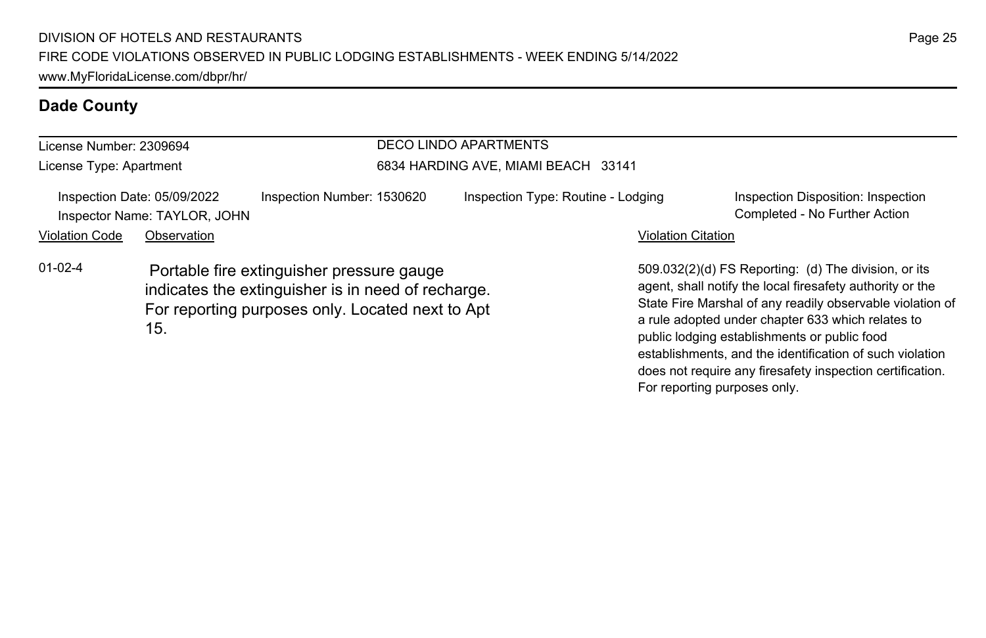#### License Number: 2309694 License Type: Apartment DECO LINDO APARTMENTS 6834 HARDING AVE, MIAMI BEACH 33141 Inspection Date: 05/09/2022 Inspection Number: 1530620 Inspection Type: Routine - Lodging Inspection Disposition: Inspection Inspector Name: TAYLOR, JOHN Completed - No Further Action Violation Code Observation **Violation Code Observation** Violation Citation Citation Citation Citation Citation Citation Citation Citation Citation Citation Citation Citation Citation Citation Citation Citation Citation Cit 509.032(2)(d) FS Reporting: (d) The division, or its agent, shall notify the local firesafety authority or the State Fire Marshal of any readily observable violation of a rule adopted under chapter 633 which relates to public lodging establishments or public food 01-02-4 Portable fire extinguisher pressure gauge indicates the extinguisher is in need of recharge. For reporting purposes only. Located next to Apt 15.

Page 25

establishments, and the identification of such violation does not require any firesafety inspection certification.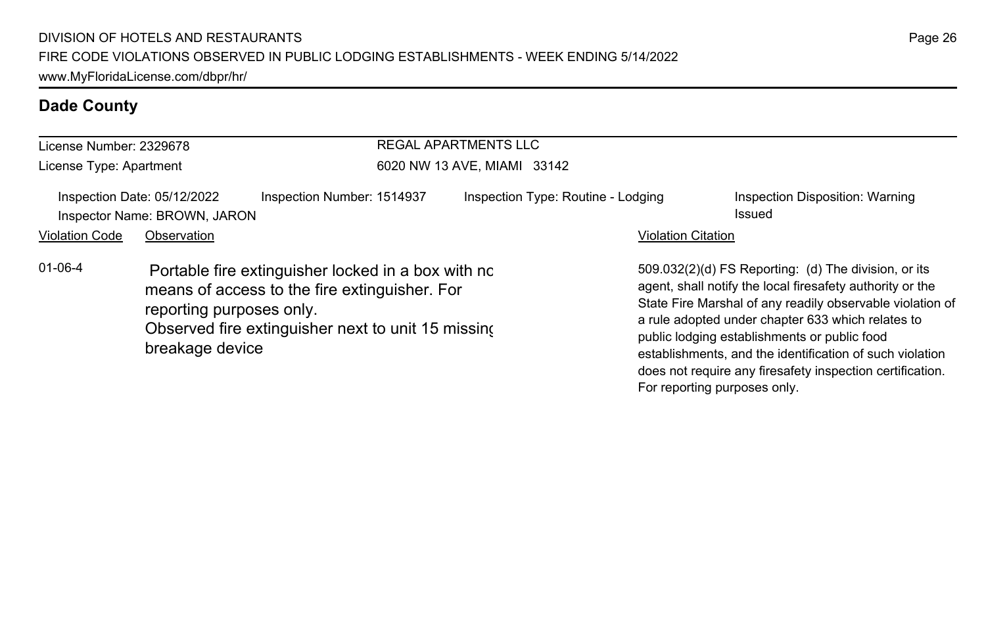| License Number: 2329678 |                                                             |                                                                                                                                                           | <b>REGAL APARTMENTS LLC</b>        |                           |                                                                                                                                                                                                                                                                                                                                                                                                                                              |  |  |  |
|-------------------------|-------------------------------------------------------------|-----------------------------------------------------------------------------------------------------------------------------------------------------------|------------------------------------|---------------------------|----------------------------------------------------------------------------------------------------------------------------------------------------------------------------------------------------------------------------------------------------------------------------------------------------------------------------------------------------------------------------------------------------------------------------------------------|--|--|--|
| License Type: Apartment |                                                             |                                                                                                                                                           | 6020 NW 13 AVE, MIAMI 33142        |                           |                                                                                                                                                                                                                                                                                                                                                                                                                                              |  |  |  |
|                         | Inspection Date: 05/12/2022<br>Inspector Name: BROWN, JARON | Inspection Number: 1514937                                                                                                                                | Inspection Type: Routine - Lodging |                           | Inspection Disposition: Warning<br>Issued                                                                                                                                                                                                                                                                                                                                                                                                    |  |  |  |
| <b>Violation Code</b>   | Observation                                                 |                                                                                                                                                           |                                    | <b>Violation Citation</b> |                                                                                                                                                                                                                                                                                                                                                                                                                                              |  |  |  |
| $01 - 06 - 4$           | reporting purposes only.<br>breakage device                 | Portable fire extinguisher locked in a box with no<br>means of access to the fire extinguisher. For<br>Observed fire extinguisher next to unit 15 missing |                                    |                           | 509.032(2)(d) FS Reporting: (d) The division, or its<br>agent, shall notify the local firesafety authority or the<br>State Fire Marshal of any readily observable violation of<br>a rule adopted under chapter 633 which relates to<br>public lodging establishments or public food<br>establishments, and the identification of such violation<br>does not require any firesafety inspection certification.<br>For reporting purposes only. |  |  |  |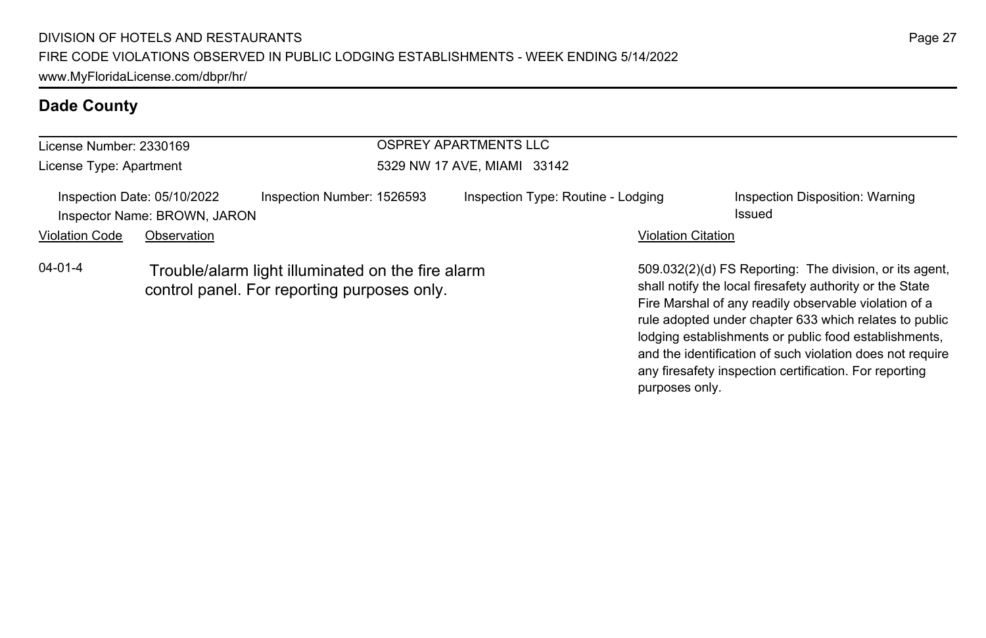| License Number: 2330169 |                                                             |                                                                                                  | OSPREY APARTMENTS LLC              |                                                                                                                                                                                                                                                                                                                                                              |  |  |  |
|-------------------------|-------------------------------------------------------------|--------------------------------------------------------------------------------------------------|------------------------------------|--------------------------------------------------------------------------------------------------------------------------------------------------------------------------------------------------------------------------------------------------------------------------------------------------------------------------------------------------------------|--|--|--|
| License Type: Apartment |                                                             |                                                                                                  | 5329 NW 17 AVE, MIAMI 33142        |                                                                                                                                                                                                                                                                                                                                                              |  |  |  |
|                         | Inspection Date: 05/10/2022<br>Inspector Name: BROWN, JARON | Inspection Number: 1526593                                                                       | Inspection Type: Routine - Lodging | Inspection Disposition: Warning<br>Issued                                                                                                                                                                                                                                                                                                                    |  |  |  |
| <b>Violation Code</b>   | Observation                                                 |                                                                                                  |                                    | <b>Violation Citation</b>                                                                                                                                                                                                                                                                                                                                    |  |  |  |
| $04 - 01 - 4$           |                                                             | Trouble/alarm light illuminated on the fire alarm<br>control panel. For reporting purposes only. |                                    | 509.032(2)(d) FS Reporting: The division, or its agent,<br>shall notify the local firesafety authority or the State<br>Fire Marshal of any readily observable violation of a<br>rule adopted under chapter 633 which relates to public<br>lodging establishments or public food establishments,<br>and the identification of such violation does not require |  |  |  |

any firesafety inspection certification. For reporting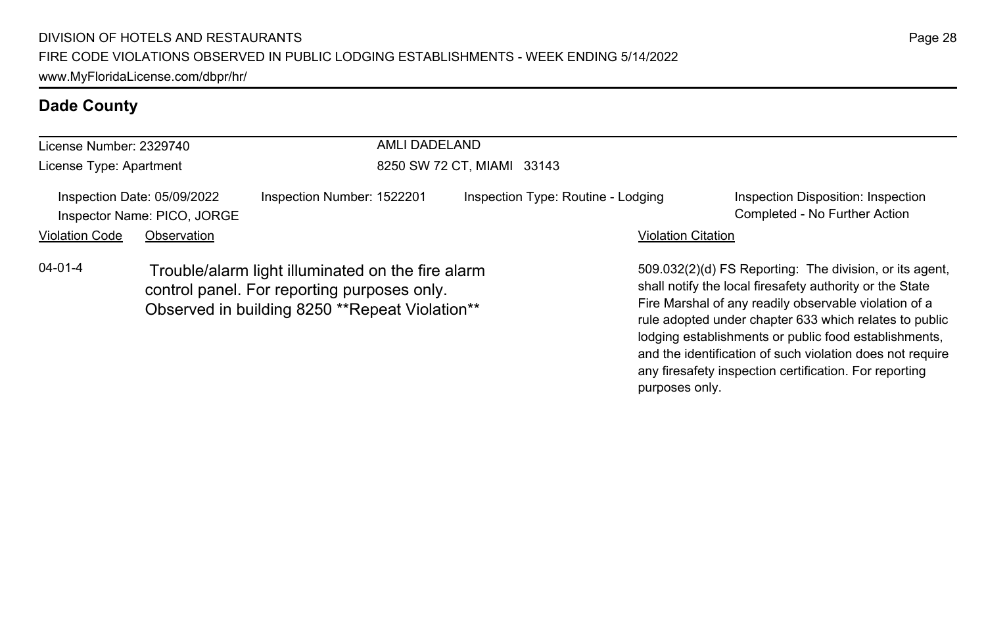| License Number: 2329740<br>License Type: Apartment |                                                            | AMLI DADELAND<br>8250 SW 72 CT, MIAMI 33143                                                                                                         |  |                                    |                           |                                                                                                                                                                                                                                                                                                 |
|----------------------------------------------------|------------------------------------------------------------|-----------------------------------------------------------------------------------------------------------------------------------------------------|--|------------------------------------|---------------------------|-------------------------------------------------------------------------------------------------------------------------------------------------------------------------------------------------------------------------------------------------------------------------------------------------|
|                                                    | Inspection Date: 05/09/2022<br>Inspector Name: PICO, JORGE | Inspection Number: 1522201                                                                                                                          |  | Inspection Type: Routine - Lodging |                           | Inspection Disposition: Inspection<br>Completed - No Further Action                                                                                                                                                                                                                             |
| <b>Violation Code</b>                              | Observation                                                |                                                                                                                                                     |  |                                    | <b>Violation Citation</b> |                                                                                                                                                                                                                                                                                                 |
| $04 - 01 - 4$                                      |                                                            | Trouble/alarm light illuminated on the fire alarm<br>control panel. For reporting purposes only.<br>Observed in building 8250 ** Repeat Violation** |  |                                    |                           | 509.032(2)(d) FS Reporting: The division, or its agent.<br>shall notify the local firesafety authority or the State<br>Fire Marshal of any readily observable violation of a<br>rule adopted under chapter 633 which relates to public<br>lodging establishments or public food establishments, |

and the identification of such violation does not require any firesafety inspection certification. For reporting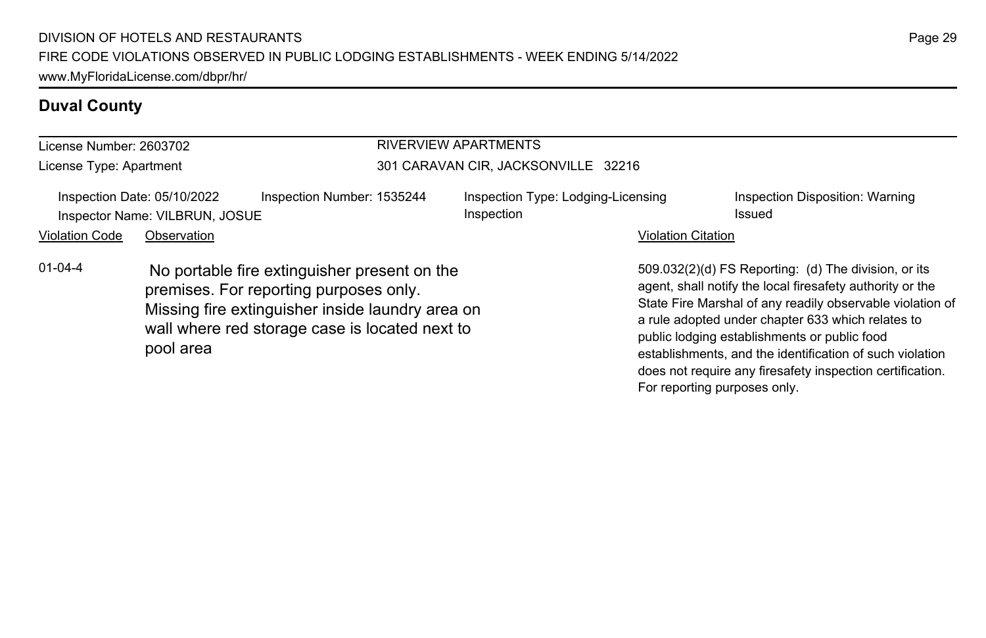### **Duval County**

| License Number: 2603702 |                                                                                                                                                                                                           | <b>RIVERVIEW APARTMENTS</b>                      |                           |                                                                                                                                                                                                                                                                                                                                                                                                              |  |  |
|-------------------------|-----------------------------------------------------------------------------------------------------------------------------------------------------------------------------------------------------------|--------------------------------------------------|---------------------------|--------------------------------------------------------------------------------------------------------------------------------------------------------------------------------------------------------------------------------------------------------------------------------------------------------------------------------------------------------------------------------------------------------------|--|--|
| License Type: Apartment |                                                                                                                                                                                                           | 301 CARAVAN CIR, JACKSONVILLE 32216              |                           |                                                                                                                                                                                                                                                                                                                                                                                                              |  |  |
|                         | Inspection Date: 05/10/2022<br>Inspection Number: 1535244<br>Inspector Name: VILBRUN, JOSUE                                                                                                               | Inspection Type: Lodging-Licensing<br>Inspection |                           | Inspection Disposition: Warning<br>Issued                                                                                                                                                                                                                                                                                                                                                                    |  |  |
| <b>Violation Code</b>   | Observation                                                                                                                                                                                               |                                                  | <b>Violation Citation</b> |                                                                                                                                                                                                                                                                                                                                                                                                              |  |  |
| $01 - 04 - 4$           | No portable fire extinguisher present on the<br>premises. For reporting purposes only.<br>Missing fire extinguisher inside laundry area on<br>wall where red storage case is located next to<br>pool area |                                                  |                           | 509.032(2)(d) FS Reporting: (d) The division, or its<br>agent, shall notify the local firesafety authority or the<br>State Fire Marshal of any readily observable violation of<br>a rule adopted under chapter 633 which relates to<br>public lodging establishments or public food<br>establishments, and the identification of such violation<br>does not require any firesafety inspection certification. |  |  |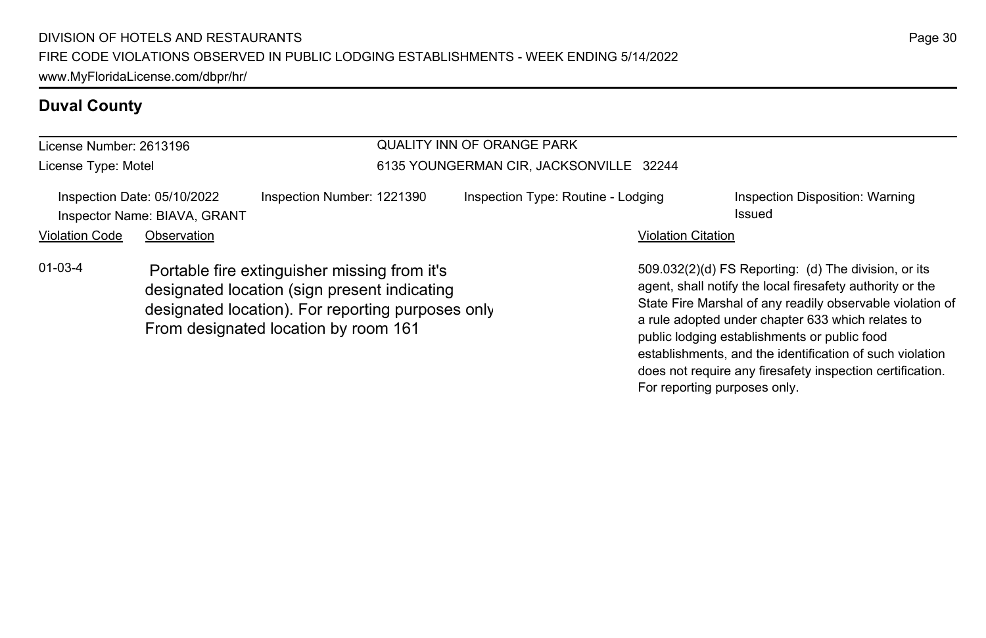### **Duval County**

| License Number: 2613196 |                                                             |                                                                                                                                                                                           | QUALITY INN OF ORANGE PARK<br>6135 YOUNGERMAN CIR, JACKSONVILLE 32244 |                           |                                                                                                                                                                                                                                                                                     |  |  |
|-------------------------|-------------------------------------------------------------|-------------------------------------------------------------------------------------------------------------------------------------------------------------------------------------------|-----------------------------------------------------------------------|---------------------------|-------------------------------------------------------------------------------------------------------------------------------------------------------------------------------------------------------------------------------------------------------------------------------------|--|--|
| License Type: Motel     |                                                             |                                                                                                                                                                                           |                                                                       |                           |                                                                                                                                                                                                                                                                                     |  |  |
|                         | Inspection Date: 05/10/2022<br>Inspector Name: BIAVA, GRANT | Inspection Number: 1221390                                                                                                                                                                | Inspection Type: Routine - Lodging                                    |                           | Inspection Disposition: Warning<br>Issued                                                                                                                                                                                                                                           |  |  |
| <b>Violation Code</b>   | Observation                                                 |                                                                                                                                                                                           |                                                                       | <b>Violation Citation</b> |                                                                                                                                                                                                                                                                                     |  |  |
| $01 - 03 - 4$           |                                                             | Portable fire extinguisher missing from it's<br>designated location (sign present indicating<br>designated location). For reporting purposes only<br>From designated location by room 161 |                                                                       |                           | 509.032(2)(d) FS Reporting: (d) The division, or its<br>agent, shall notify the local firesafety authority or the<br>State Fire Marshal of any readily observable violation of<br>a rule adopted under chapter 633 which relates to<br>public lodging establishments or public food |  |  |

establishments, and the identification of such violation does not require any firesafety inspection certification.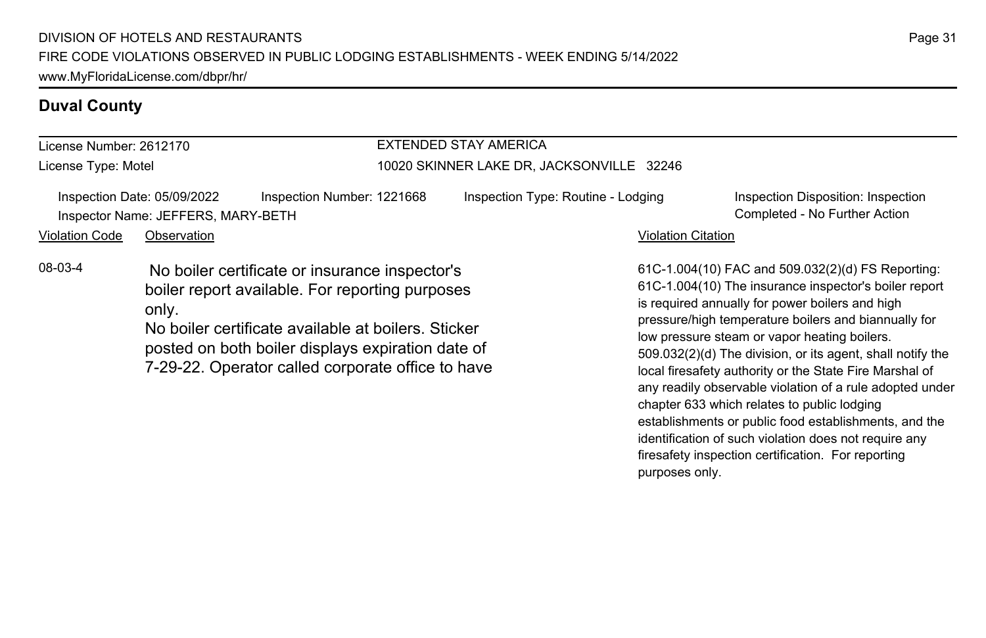#### **Duval County**

#### License Number: 2612170 License Type: Motel EXTENDED STAY AMERICA 10020 SKINNER LAKE DR, JACKSONVILLE 32246 Inspection Date: 05/09/2022 Inspection Number: 1221668 Inspection Type: Routine - Lodging Inspection Disposition: Inspection Inspector Name: JEFFERS, MARY-BETH Completed - No Further Action Violation Code Observation **Violation Code** Observation **Violation** Violation Citation Citation Citation Citation 61C-1.004(10) FAC and 509.032(2)(d) FS Reporting: 61C-1.004(10) The insurance inspector's boiler report is required annually for power boilers and high pressure/high temperature boilers and biannually for low pressure steam or vapor heating boilers. 509.032(2)(d) The division, or its agent, shall notify the local firesafety authority or the State Fire Marshal of 08-03-4 No boiler certificate or insurance inspector's boiler report available. For reporting purposes only. No boiler certificate available at boilers. Sticker posted on both boiler displays expiration date of 7-29-22. Operator called corporate office to have

Page 31

any readily observable violation of a rule adopted under

establishments or public food establishments, and the identification of such violation does not require any firesafety inspection certification. For reporting

chapter 633 which relates to public lodging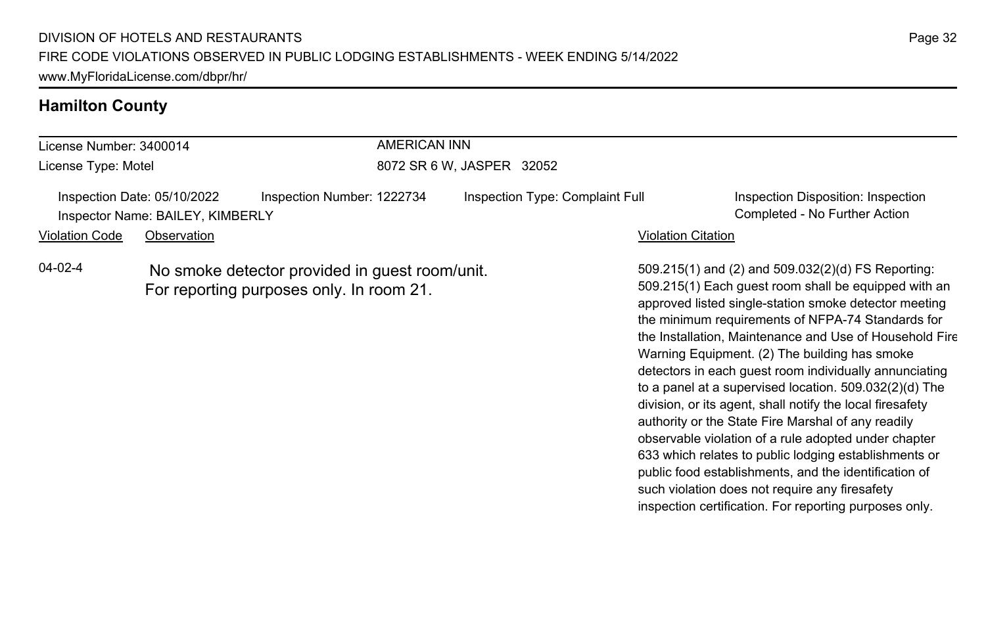#### **Hamilton County**

#### License Number: 3400014 License Type: Motel AMERICAN INN 8072 SR 6 W, JASPER 32052 Inspection Date: 05/10/2022 Inspection Number: 1222734 Inspection Type: Complaint Full Inspection Disposition: Inspection Inspector Name: BAILEY, KIMBERLY Completed - No Further Action Violation Code Observation Violation Citation 509.215(1) and (2) and 509.032(2)(d) FS Reporting: 509.215(1) Each guest room shall be equipped with an 04-02-4 No smoke detector provided in guest room/unit. For reporting purposes only. In room 21.

approved listed single-station smoke detector meeting the minimum requirements of NFPA-74 Standards for the Installation, Maintenance and Use of Household Fire Warning Equipment. (2) The building has smoke detectors in each guest room individually annunciating to a panel at a supervised location. 509.032(2)(d) The division, or its agent, shall notify the local firesafety authority or the State Fire Marshal of any readily observable violation of a rule adopted under chapter 633 which relates to public lodging establishments or public food establishments, and the identification of such violation does not require any firesafety inspection certification. For reporting purposes only.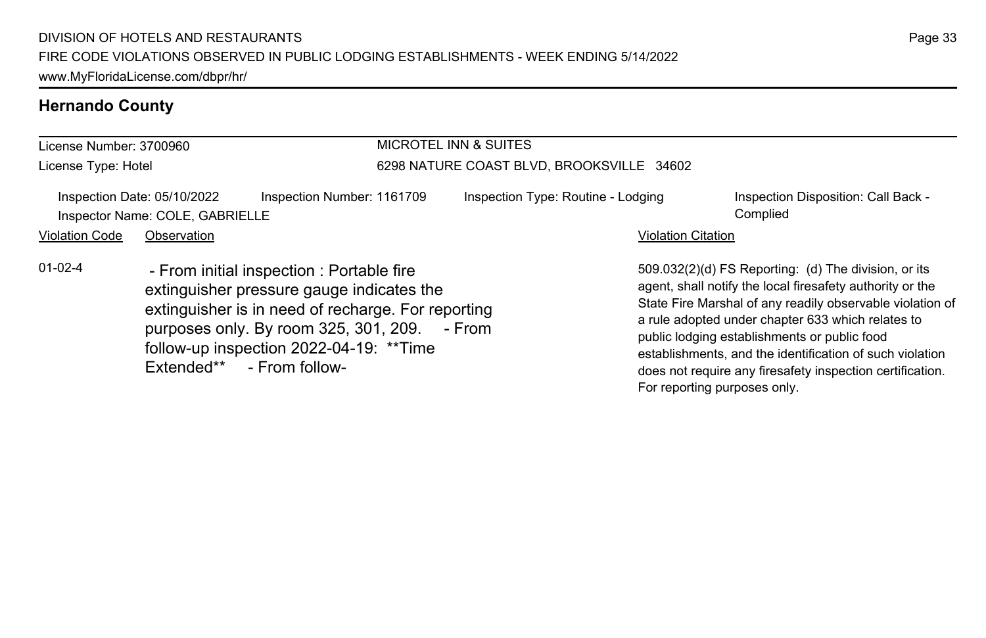### **Hernando County**

| License Number: 3700960                                        |             |                                                                                                                                                                                                                                                                       | <b>MICROTEL INN &amp; SUITES</b>          |                                    |                              |                                                                                                                                                                                                                                                                                                                                                                                                              |  |
|----------------------------------------------------------------|-------------|-----------------------------------------------------------------------------------------------------------------------------------------------------------------------------------------------------------------------------------------------------------------------|-------------------------------------------|------------------------------------|------------------------------|--------------------------------------------------------------------------------------------------------------------------------------------------------------------------------------------------------------------------------------------------------------------------------------------------------------------------------------------------------------------------------------------------------------|--|
| License Type: Hotel                                            |             |                                                                                                                                                                                                                                                                       | 6298 NATURE COAST BLVD, BROOKSVILLE 34602 |                                    |                              |                                                                                                                                                                                                                                                                                                                                                                                                              |  |
| Inspection Date: 05/10/2022<br>Inspector Name: COLE, GABRIELLE |             | Inspection Number: 1161709                                                                                                                                                                                                                                            |                                           | Inspection Type: Routine - Lodging |                              | Inspection Disposition: Call Back -<br>Complied                                                                                                                                                                                                                                                                                                                                                              |  |
| <b>Violation Code</b>                                          | Observation |                                                                                                                                                                                                                                                                       |                                           |                                    | <b>Violation Citation</b>    |                                                                                                                                                                                                                                                                                                                                                                                                              |  |
| $01 - 02 - 4$                                                  |             | - From initial inspection : Portable fire<br>extinguisher pressure gauge indicates the<br>extinguisher is in need of recharge. For reporting<br>purposes only. By room 325, 301, 209. - From<br>follow-up inspection 2022-04-19: ** Time<br>Extended** - From follow- |                                           |                                    | For reporting purposes only. | 509.032(2)(d) FS Reporting: (d) The division, or its<br>agent, shall notify the local firesafety authority or the<br>State Fire Marshal of any readily observable violation of<br>a rule adopted under chapter 633 which relates to<br>public lodging establishments or public food<br>establishments, and the identification of such violation<br>does not require any firesafety inspection certification. |  |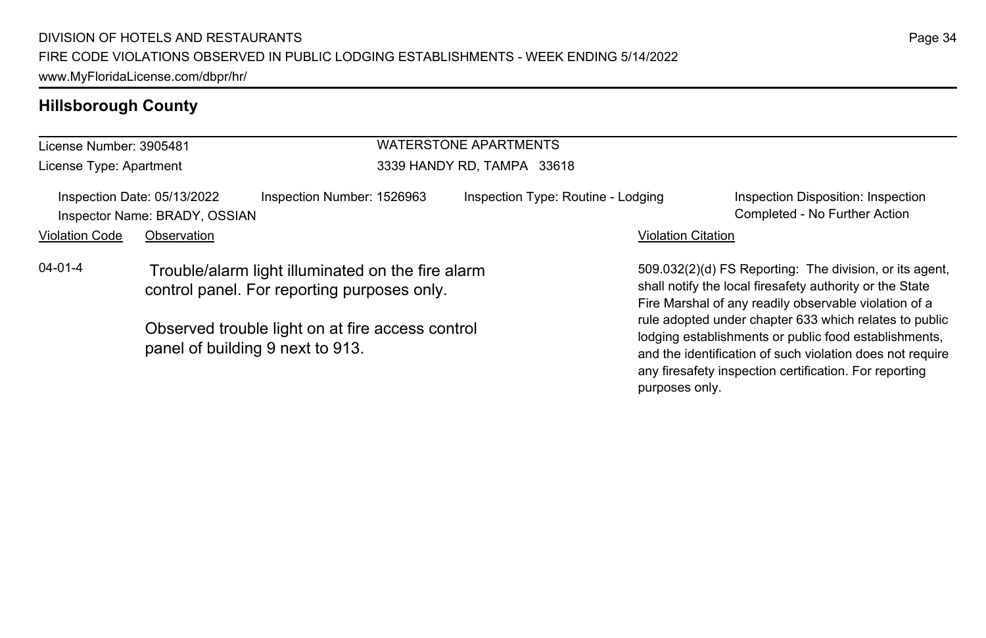## **Hillsborough County**

| License Number: 3905481                                                                                                                                               |                                                              |                            |                            | <b>WATERSTONE APARTMENTS</b>                                                                                                                                                                                                           |                           |                                                                                                                                                                              |  |
|-----------------------------------------------------------------------------------------------------------------------------------------------------------------------|--------------------------------------------------------------|----------------------------|----------------------------|----------------------------------------------------------------------------------------------------------------------------------------------------------------------------------------------------------------------------------------|---------------------------|------------------------------------------------------------------------------------------------------------------------------------------------------------------------------|--|
| License Type: Apartment                                                                                                                                               |                                                              |                            | 3339 HANDY RD. TAMPA 33618 |                                                                                                                                                                                                                                        |                           |                                                                                                                                                                              |  |
|                                                                                                                                                                       | Inspection Date: 05/13/2022<br>Inspector Name: BRADY, OSSIAN | Inspection Number: 1526963 |                            | Inspection Type: Routine - Lodging                                                                                                                                                                                                     |                           | Inspection Disposition: Inspection<br>Completed - No Further Action                                                                                                          |  |
| <b>Violation Code</b>                                                                                                                                                 | Observation                                                  |                            |                            |                                                                                                                                                                                                                                        | <b>Violation Citation</b> |                                                                                                                                                                              |  |
| $04 - 01 - 4$<br>Trouble/alarm light illuminated on the fire alarm<br>control panel. For reporting purposes only.<br>Observed trouble light on at fire access control |                                                              |                            |                            | 509.032(2)(d) FS Reporting: The division, or its agent,<br>shall notify the local firesafety authority or the State<br>Fire Marshal of any readily observable violation of a<br>rule adopted under chapter 633 which relates to public |                           |                                                                                                                                                                              |  |
|                                                                                                                                                                       | panel of building 9 next to 913.                             |                            |                            |                                                                                                                                                                                                                                        |                           | lodging establishments or public food establishments,<br>and the identification of such violation does not require<br>any firesafety inspection certification. For reporting |  |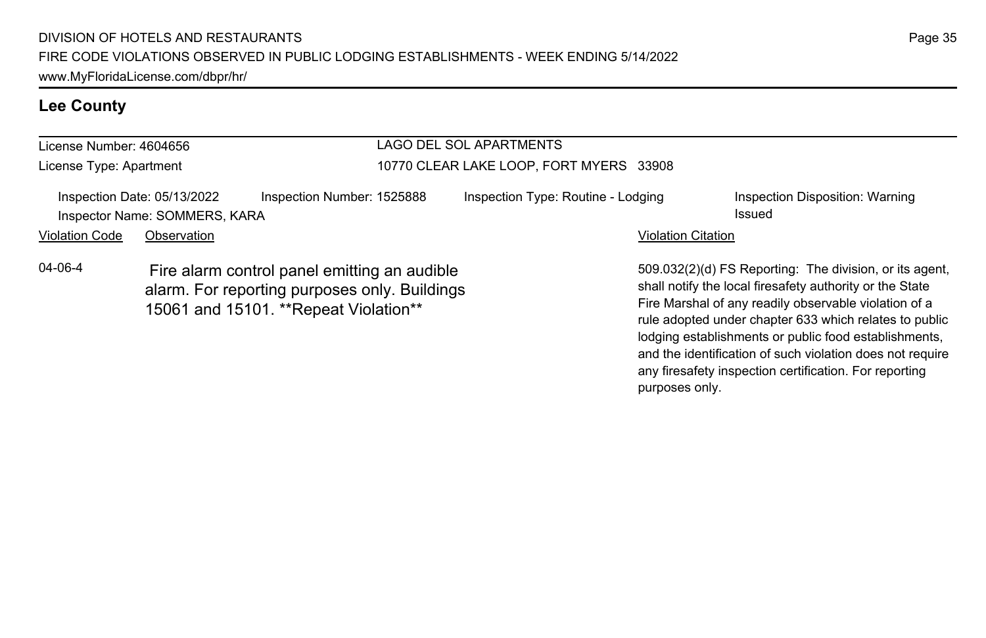### **Lee County**

| License Number: 4604656 |                                                                                                                                         |                            | LAGO DEL SOL APARTMENTS                 |                                    |                           |                                                                                                                                                                                                                                        |  |
|-------------------------|-----------------------------------------------------------------------------------------------------------------------------------------|----------------------------|-----------------------------------------|------------------------------------|---------------------------|----------------------------------------------------------------------------------------------------------------------------------------------------------------------------------------------------------------------------------------|--|
| License Type: Apartment |                                                                                                                                         |                            | 10770 CLEAR LAKE LOOP, FORT MYERS 33908 |                                    |                           |                                                                                                                                                                                                                                        |  |
|                         | Inspection Date: 05/13/2022<br>Inspector Name: SOMMERS, KARA                                                                            | Inspection Number: 1525888 |                                         | Inspection Type: Routine - Lodging |                           | Inspection Disposition: Warning<br>Issued                                                                                                                                                                                              |  |
| <b>Violation Code</b>   | Observation                                                                                                                             |                            |                                         |                                    | <b>Violation Citation</b> |                                                                                                                                                                                                                                        |  |
| 04-06-4                 | Fire alarm control panel emitting an audible<br>alarm. For reporting purposes only. Buildings<br>15061 and 15101. ** Repeat Violation** |                            |                                         |                                    |                           | 509.032(2)(d) FS Reporting: The division, or its agent.<br>shall notify the local firesafety authority or the State<br>Fire Marshal of any readily observable violation of a<br>rule adopted under chapter 633 which relates to public |  |

Page 35

lodging establishments or public food establishments, and the identification of such violation does not require any firesafety inspection certification. For reporting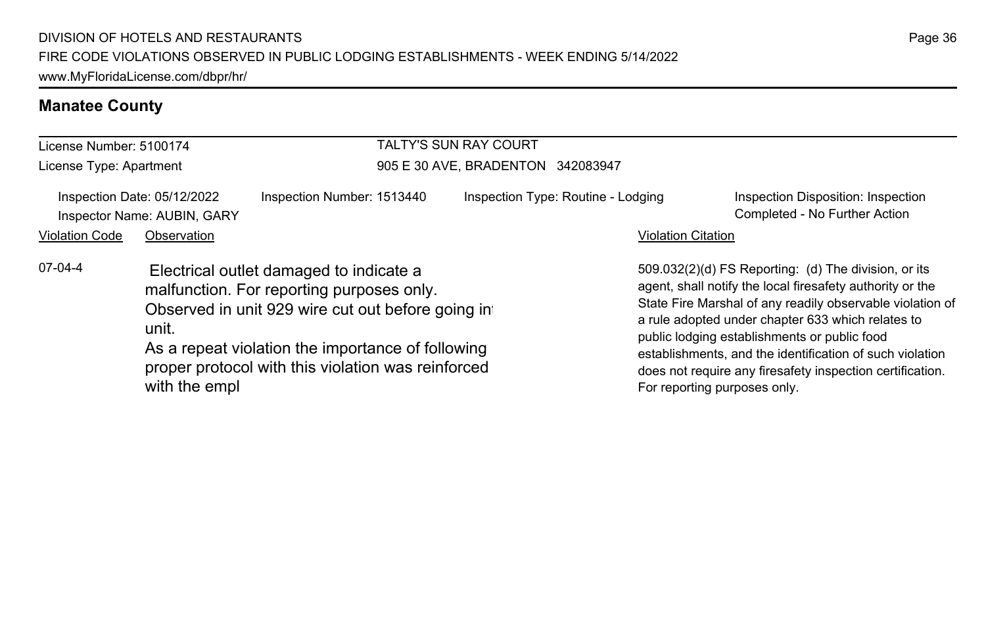### **Manatee County**

| License Number: 5100174                                    |                        |                                                                                                                                                                                                                                                      | <b>TALTY'S SUN RAY COURT</b>       |                           |                                                                                                                                                                                                                                                                                                                                                                                                                                              |  |  |
|------------------------------------------------------------|------------------------|------------------------------------------------------------------------------------------------------------------------------------------------------------------------------------------------------------------------------------------------------|------------------------------------|---------------------------|----------------------------------------------------------------------------------------------------------------------------------------------------------------------------------------------------------------------------------------------------------------------------------------------------------------------------------------------------------------------------------------------------------------------------------------------|--|--|
| License Type: Apartment                                    |                        |                                                                                                                                                                                                                                                      | 905 E 30 AVE, BRADENTON 342083947  |                           |                                                                                                                                                                                                                                                                                                                                                                                                                                              |  |  |
| Inspection Date: 05/12/2022<br>Inspector Name: AUBIN, GARY |                        | Inspection Number: 1513440                                                                                                                                                                                                                           | Inspection Type: Routine - Lodging |                           | Inspection Disposition: Inspection<br>Completed - No Further Action                                                                                                                                                                                                                                                                                                                                                                          |  |  |
| <b>Violation Code</b>                                      | Observation            |                                                                                                                                                                                                                                                      |                                    | <b>Violation Citation</b> |                                                                                                                                                                                                                                                                                                                                                                                                                                              |  |  |
| 07-04-4                                                    | unit.<br>with the empl | Electrical outlet damaged to indicate a<br>malfunction. For reporting purposes only.<br>Observed in unit 929 wire cut out before going in<br>As a repeat violation the importance of following<br>proper protocol with this violation was reinforced |                                    |                           | 509.032(2)(d) FS Reporting: (d) The division, or its<br>agent, shall notify the local firesafety authority or the<br>State Fire Marshal of any readily observable violation of<br>a rule adopted under chapter 633 which relates to<br>public lodging establishments or public food<br>establishments, and the identification of such violation<br>does not require any firesafety inspection certification.<br>For reporting purposes only. |  |  |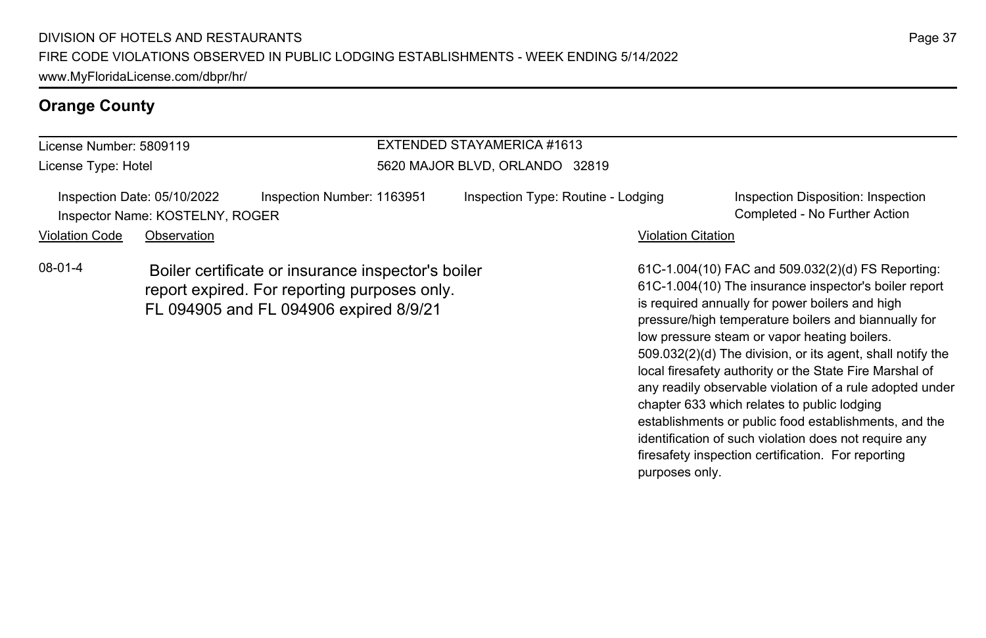#### **Orange County**

#### License Number: 5809119 License Type: Hotel EXTENDED STAYAMERICA #1613 5620 MAJOR BLVD, ORLANDO 32819 Inspection Date: 05/10/2022 Inspection Number: 1163951 Inspection Type: Routine - Lodging Inspection Disposition: Inspection Inspector Name: KOSTELNY, ROGER Completed - No Further Action Violation Code Observation **Violation Code** Observation **Violation** Violation Citation Citation Citation Citation 61C-1.004(10) FAC and 509.032(2)(d) FS Reporting: 61C-1.004(10) The insurance inspector's boiler report is required annually for power boilers and high pressure/high temperature boilers and biannually for 08-01-4 Boiler certificate or insurance inspector's boiler report expired. For reporting purposes only. FL 094905 and FL 094906 expired 8/9/21

low pressure steam or vapor heating boilers.

chapter 633 which relates to public lodging

purposes only.

509.032(2)(d) The division, or its agent, shall notify the local firesafety authority or the State Fire Marshal of any readily observable violation of a rule adopted under

establishments or public food establishments, and the identification of such violation does not require any firesafety inspection certification. For reporting

Page 37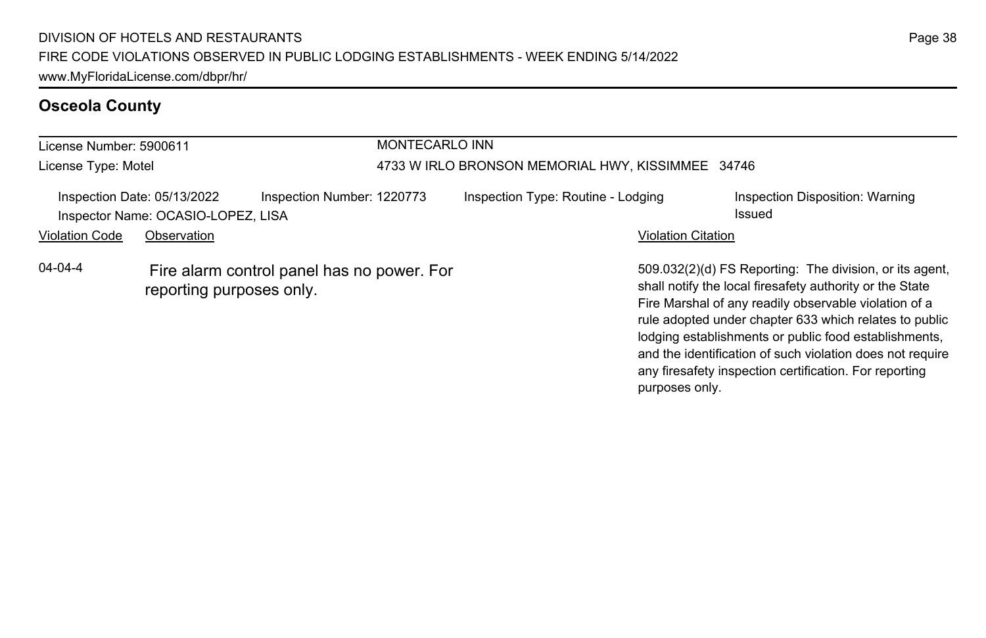### **Osceola County**

| License Number: 5900611 |                                                                        |                            | MONTECARLO INN                                    |                                                                                                                                                                                                                                                                                                                                                              |  |  |  |
|-------------------------|------------------------------------------------------------------------|----------------------------|---------------------------------------------------|--------------------------------------------------------------------------------------------------------------------------------------------------------------------------------------------------------------------------------------------------------------------------------------------------------------------------------------------------------------|--|--|--|
| License Type: Motel     |                                                                        |                            | 4733 W IRLO BRONSON MEMORIAL HWY, KISSIMMEE 34746 |                                                                                                                                                                                                                                                                                                                                                              |  |  |  |
|                         | Inspection Date: 05/13/2022<br>Inspector Name: OCASIO-LOPEZ, LISA      | Inspection Number: 1220773 | Inspection Type: Routine - Lodging                | Inspection Disposition: Warning<br>Issued                                                                                                                                                                                                                                                                                                                    |  |  |  |
| <b>Violation Code</b>   | Observation                                                            |                            | <b>Violation Citation</b>                         |                                                                                                                                                                                                                                                                                                                                                              |  |  |  |
| $04 - 04 - 4$           | Fire alarm control panel has no power. For<br>reporting purposes only. |                            |                                                   | 509.032(2)(d) FS Reporting: The division, or its agent,<br>shall notify the local firesafety authority or the State<br>Fire Marshal of any readily observable violation of a<br>rule adopted under chapter 633 which relates to public<br>lodging establishments or public food establishments,<br>and the identification of such violation does not require |  |  |  |

any firesafety inspection certification. For reporting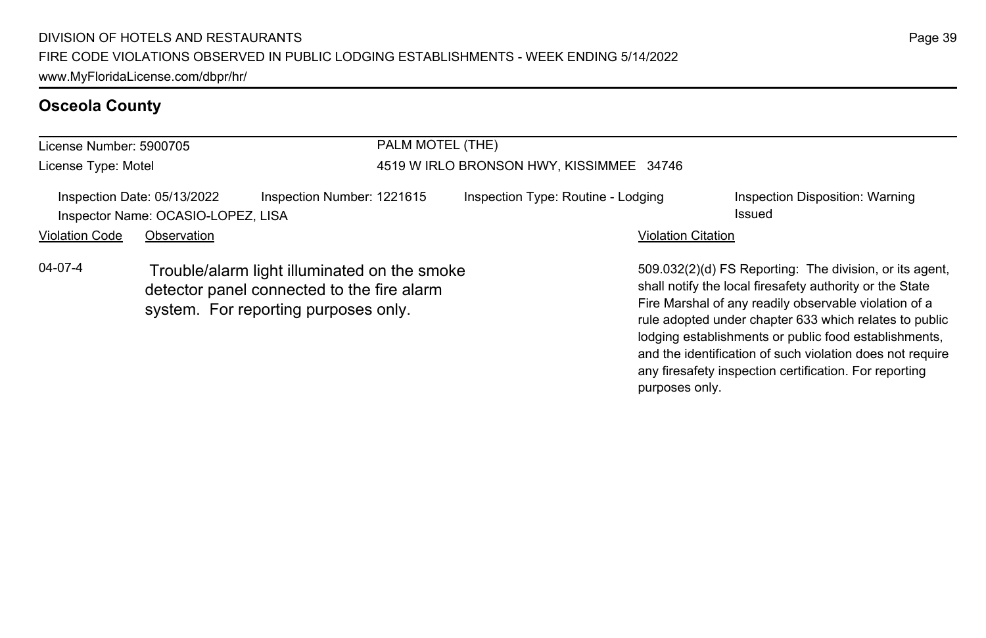### **Osceola County**

| License Number: 5900705 |                                                                   |                                                                                                                                    | PALM MOTEL (THE)                         |                                                                                                                                                                                                                                                                                                 |  |  |
|-------------------------|-------------------------------------------------------------------|------------------------------------------------------------------------------------------------------------------------------------|------------------------------------------|-------------------------------------------------------------------------------------------------------------------------------------------------------------------------------------------------------------------------------------------------------------------------------------------------|--|--|
| License Type: Motel     |                                                                   |                                                                                                                                    | 4519 W IRLO BRONSON HWY, KISSIMMEE 34746 |                                                                                                                                                                                                                                                                                                 |  |  |
|                         | Inspection Date: 05/13/2022<br>Inspector Name: OCASIO-LOPEZ, LISA | Inspection Number: 1221615                                                                                                         | Inspection Type: Routine - Lodging       | Inspection Disposition: Warning<br>Issued                                                                                                                                                                                                                                                       |  |  |
| <b>Violation Code</b>   | Observation                                                       |                                                                                                                                    |                                          | <b>Violation Citation</b>                                                                                                                                                                                                                                                                       |  |  |
| $04 - 07 - 4$           |                                                                   | Trouble/alarm light illuminated on the smoke<br>detector panel connected to the fire alarm<br>system. For reporting purposes only. |                                          | 509.032(2)(d) FS Reporting: The division, or its agent.<br>shall notify the local firesafety authority or the State<br>Fire Marshal of any readily observable violation of a<br>rule adopted under chapter 633 which relates to public<br>lodging establishments or public food establishments, |  |  |

and the identification of such violation does not require any firesafety inspection certification. For reporting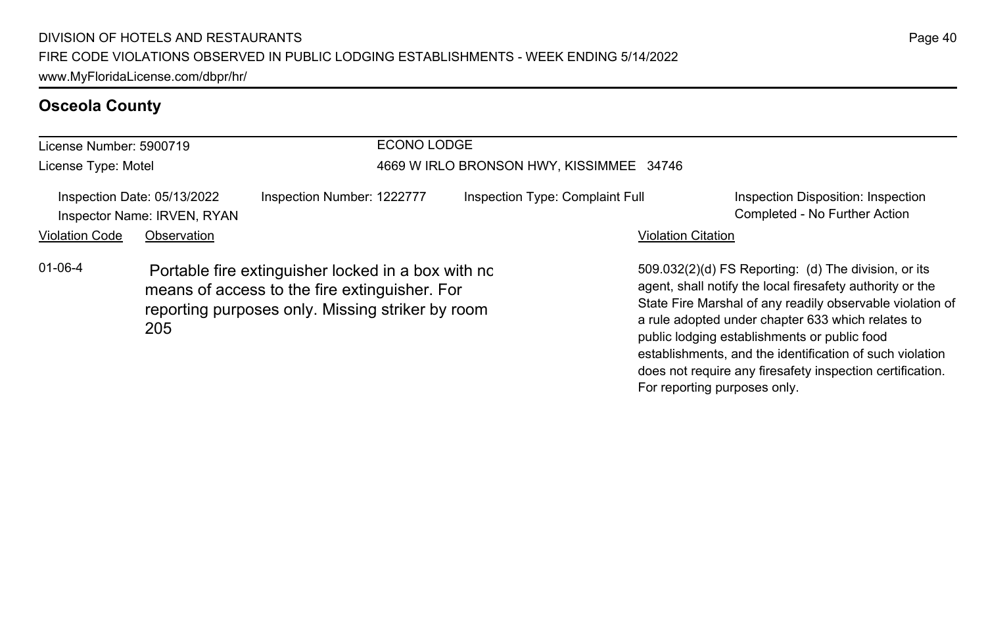### **Osceola County**

| License Number: 5900719                                    |                                                                                                                                                                |                            | ECONO LODGE                              |                           |                                                                                                                                                                                                                                                                                                                                                                                                              |  |  |
|------------------------------------------------------------|----------------------------------------------------------------------------------------------------------------------------------------------------------------|----------------------------|------------------------------------------|---------------------------|--------------------------------------------------------------------------------------------------------------------------------------------------------------------------------------------------------------------------------------------------------------------------------------------------------------------------------------------------------------------------------------------------------------|--|--|
| License Type: Motel                                        |                                                                                                                                                                |                            | 4669 W IRLO BRONSON HWY, KISSIMMEE 34746 |                           |                                                                                                                                                                                                                                                                                                                                                                                                              |  |  |
| Inspection Date: 05/13/2022<br>Inspector Name: IRVEN, RYAN |                                                                                                                                                                | Inspection Number: 1222777 | Inspection Type: Complaint Full          |                           | Inspection Disposition: Inspection<br>Completed - No Further Action                                                                                                                                                                                                                                                                                                                                          |  |  |
| <b>Violation Code</b>                                      | Observation                                                                                                                                                    |                            |                                          | <b>Violation Citation</b> |                                                                                                                                                                                                                                                                                                                                                                                                              |  |  |
| $01 - 06 - 4$                                              | Portable fire extinguisher locked in a box with no<br>means of access to the fire extinguisher. For<br>reporting purposes only. Missing striker by room<br>205 |                            |                                          |                           | 509.032(2)(d) FS Reporting: (d) The division, or its<br>agent, shall notify the local firesafety authority or the<br>State Fire Marshal of any readily observable violation of<br>a rule adopted under chapter 633 which relates to<br>public lodging establishments or public food<br>establishments, and the identification of such violation<br>does not require any firesafety inspection certification. |  |  |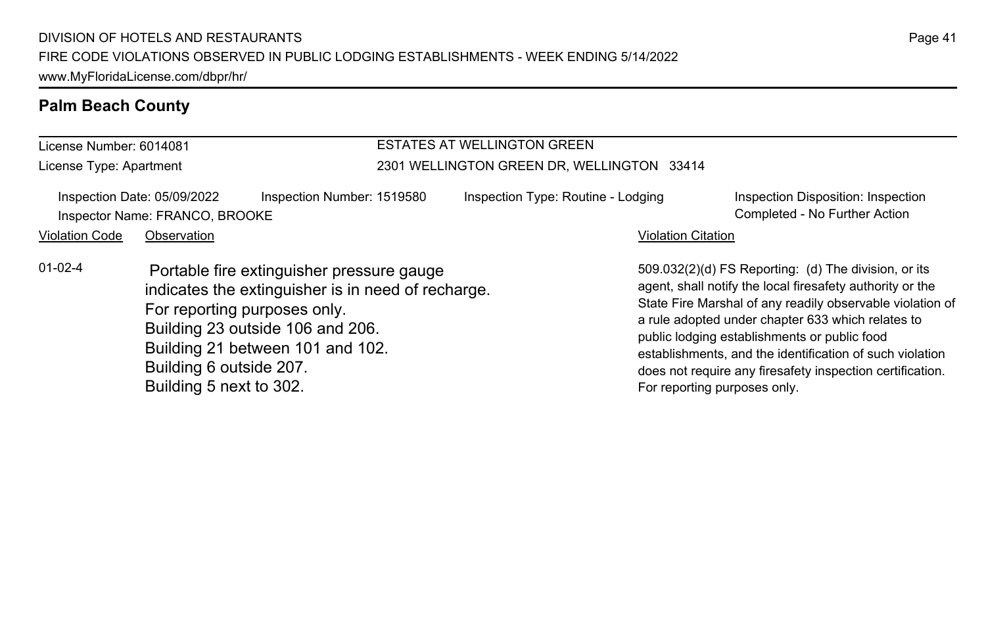#### **Palm Beach County**

#### License Number: 6014081 License Type: Apartment ESTATES AT WELLINGTON GREEN 2301 WELLINGTON GREEN DR, WELLINGTON 33414 Inspection Date: 05/09/2022 Inspection Number: 1519580 Inspection Type: Routine - Lodging Inspection Disposition: Inspection Inspector Name: FRANCO, BROOKE Completed - No Further Action Violation Code Observation **Violation Code** Observation **Violation** Violation Citation Citation Citation Citation 509.032(2)(d) FS Reporting: (d) The division, or its agent, shall notify the local firesafety authority or the State Fire Marshal of any readily observable violation of a rule adopted under chapter 633 which relates to public lodging establishments or public food establishments, and the identification of such violation does not require any firesafety inspection certification. For reporting purposes only. 01-02-4 Portable fire extinguisher pressure gauge indicates the extinguisher is in need of recharge. For reporting purposes only. Building 23 outside 106 and 206. Building 21 between 101 and 102. Building 6 outside 207. Building 5 next to 302.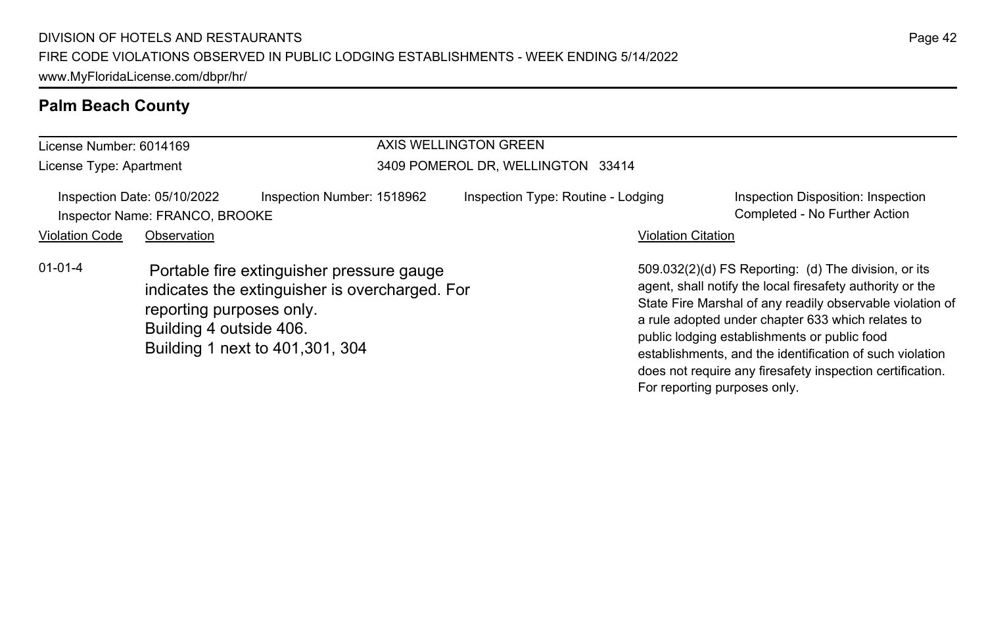#### **Palm Beach County**

#### License Number: 6014169 License Type: Apartment AXIS WELLINGTON GREEN 3409 POMEROL DR, WELLINGTON 33414 Inspection Date: 05/10/2022 Inspection Number: 1518962 Inspection Type: Routine - Lodging Inspection Disposition: Inspection Inspector Name: FRANCO, BROOKE Completed - No Further Action Violation Code Observation **Violation Code Observation** Violation Citation Citation Citation Citation Citation Citation Citation Citation Citation Citation Citation Citation Citation Citation Citation Citation Citation Cit 509.032(2)(d) FS Reporting: (d) The division, or its agent, shall notify the local firesafety authority or the State Fire Marshal of any readily observable violation of a rule adopted under chapter 633 which relates to public lodging establishments or public food establishments, and the identification of such violation does not require any firesafety inspection certification. 01-01-4 Portable fire extinguisher pressure gauge indicates the extinguisher is overcharged. For reporting purposes only. Building 4 outside 406. Building 1 next to 401,301, 304

For reporting purposes only.

Page 42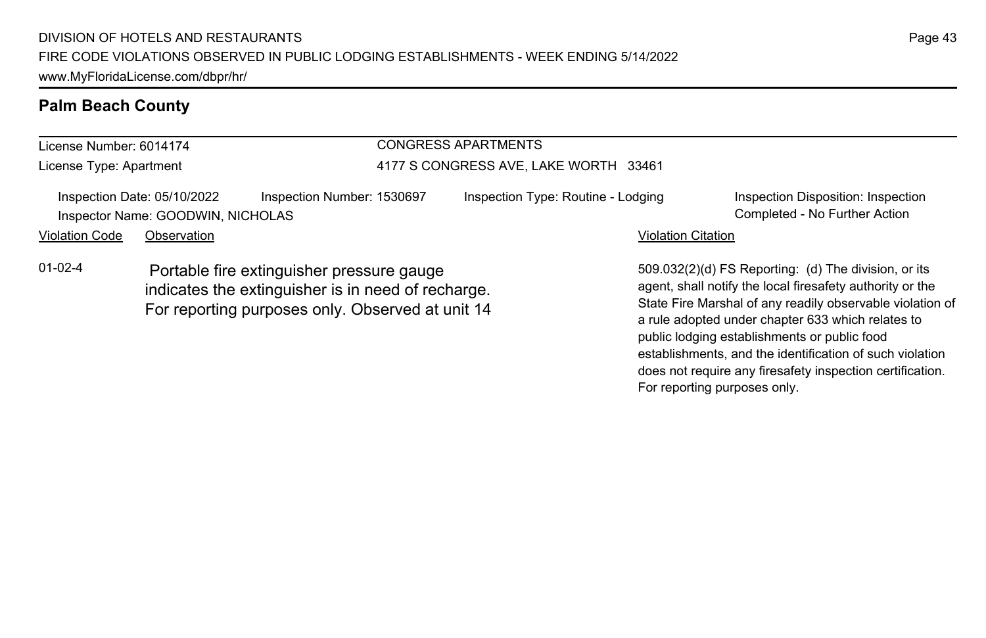#### **Palm Beach County**

#### License Number: 6014174 License Type: Apartment CONGRESS APARTMENTS 4177 S CONGRESS AVE, LAKE WORTH 33461 Inspection Date: 05/10/2022 Inspection Number: 1530697 Inspection Type: Routine - Lodging Inspection Disposition: Inspection Inspector Name: GOODWIN, NICHOLAS Completed - No Further Action Violation Code Observation **Violation Code Observation** Violation Citation Citation Citation Citation Citation Citation Citation Citation Citation Citation Citation Citation Citation Citation Citation Citation Citation Cit 509.032(2)(d) FS Reporting: (d) The division, or its agent, shall notify the local firesafety authority or the State Fire Marshal of any readily observable violation of a rule adopted under chapter 633 which relates to 01-02-4 Portable fire extinguisher pressure gauge indicates the extinguisher is in need of recharge. For reporting purposes only. Observed at unit 14

public lodging establishments or public food

For reporting purposes only.

establishments, and the identification of such violation does not require any firesafety inspection certification.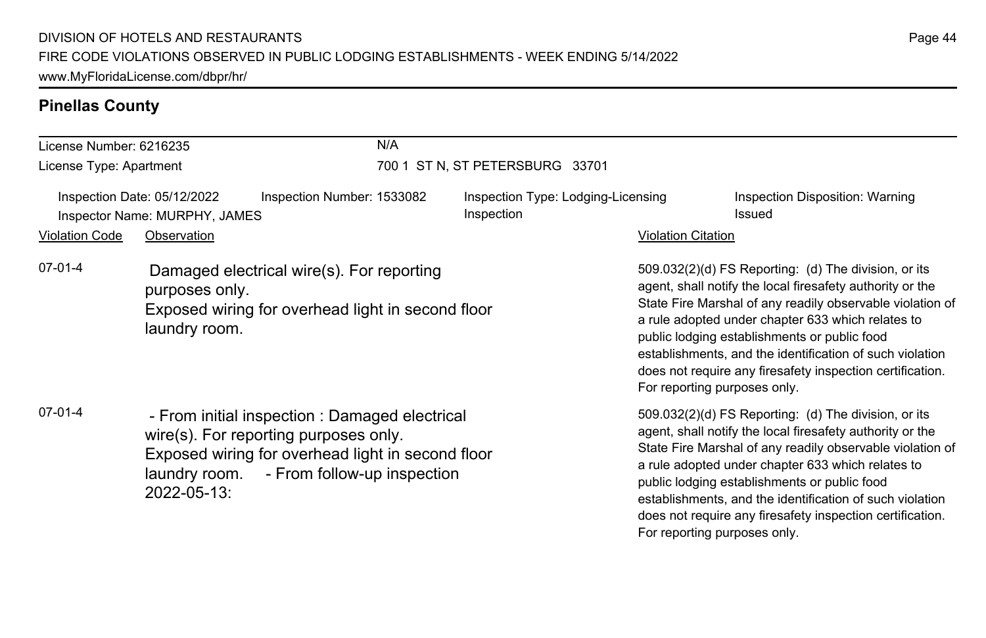| License Number: 6216235                                      |                                                                                                                                   | N/A                                                                                                                                                                                       |                                 |                                                  |                                                                                                                                                                                                                                                                                                                                                                                                                                              |                                                                                                                                                                                                                                                                                                                                                                                                              |  |
|--------------------------------------------------------------|-----------------------------------------------------------------------------------------------------------------------------------|-------------------------------------------------------------------------------------------------------------------------------------------------------------------------------------------|---------------------------------|--------------------------------------------------|----------------------------------------------------------------------------------------------------------------------------------------------------------------------------------------------------------------------------------------------------------------------------------------------------------------------------------------------------------------------------------------------------------------------------------------------|--------------------------------------------------------------------------------------------------------------------------------------------------------------------------------------------------------------------------------------------------------------------------------------------------------------------------------------------------------------------------------------------------------------|--|
| License Type: Apartment                                      |                                                                                                                                   |                                                                                                                                                                                           | 700 1 ST N, ST PETERSBURG 33701 |                                                  |                                                                                                                                                                                                                                                                                                                                                                                                                                              |                                                                                                                                                                                                                                                                                                                                                                                                              |  |
| Inspection Date: 05/12/2022<br>Inspector Name: MURPHY, JAMES |                                                                                                                                   | Inspection Number: 1533082                                                                                                                                                                |                                 | Inspection Type: Lodging-Licensing<br>Inspection |                                                                                                                                                                                                                                                                                                                                                                                                                                              | Inspection Disposition: Warning<br>Issued                                                                                                                                                                                                                                                                                                                                                                    |  |
| <b>Violation Code</b>                                        | Observation                                                                                                                       |                                                                                                                                                                                           |                                 |                                                  | <b>Violation Citation</b>                                                                                                                                                                                                                                                                                                                                                                                                                    |                                                                                                                                                                                                                                                                                                                                                                                                              |  |
| $07-01-4$                                                    | Damaged electrical wire(s). For reporting<br>purposes only.<br>Exposed wiring for overhead light in second floor<br>laundry room. |                                                                                                                                                                                           |                                 |                                                  | 509.032(2)(d) FS Reporting: (d) The division, or its<br>agent, shall notify the local firesafety authority or the<br>State Fire Marshal of any readily observable violation of<br>a rule adopted under chapter 633 which relates to<br>public lodging establishments or public food<br>establishments, and the identification of such violation<br>does not require any firesafety inspection certification.<br>For reporting purposes only. |                                                                                                                                                                                                                                                                                                                                                                                                              |  |
| $07-01-4$                                                    | 2022-05-13:                                                                                                                       | - From initial inspection : Damaged electrical<br>wire(s). For reporting purposes only.<br>Exposed wiring for overhead light in second floor<br>laundry room. - From follow-up inspection |                                 |                                                  | For reporting purposes only.                                                                                                                                                                                                                                                                                                                                                                                                                 | 509.032(2)(d) FS Reporting: (d) The division, or its<br>agent, shall notify the local firesafety authority or the<br>State Fire Marshal of any readily observable violation of<br>a rule adopted under chapter 633 which relates to<br>public lodging establishments or public food<br>establishments, and the identification of such violation<br>does not require any firesafety inspection certification. |  |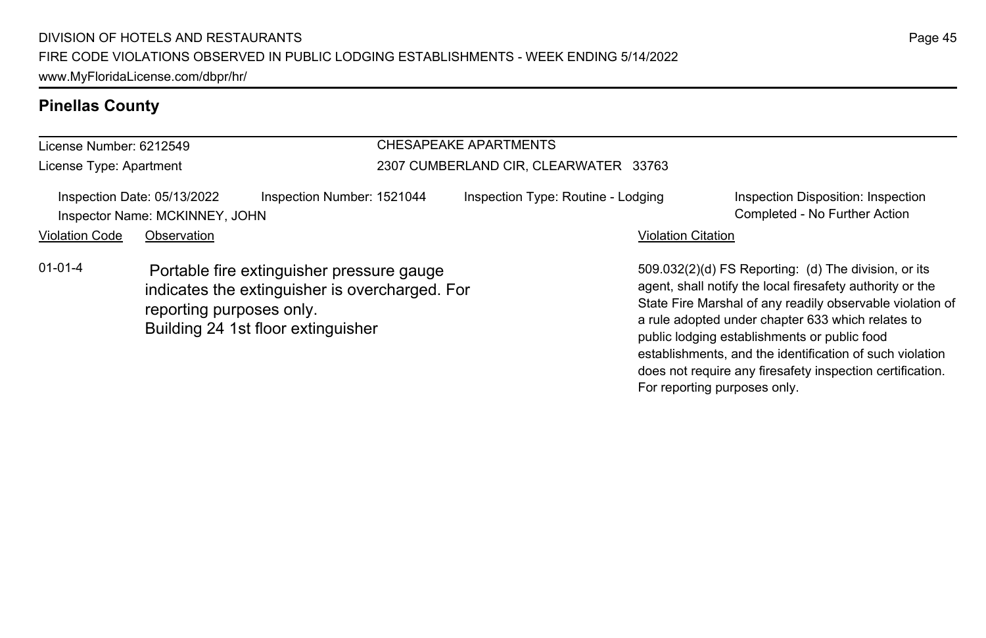#### License Number: 6212549 License Type: Apartment CHESAPEAKE APARTMENTS 2307 CUMBERLAND CIR, CLEARWATER 33763 Inspection Date: 05/13/2022 Inspection Number: 1521044 Inspection Type: Routine - Lodging Inspection Disposition: Inspection Inspector Name: MCKINNEY, JOHN Completed - No Further Action Violation Code Observation **Violation Code Observation** Violation Citation Citation Citation Citation Citation Citation Citation Citation Citation Citation Citation Citation Citation Citation Citation Citation Citation Cit 509.032(2)(d) FS Reporting: (d) The division, or its agent, shall notify the local firesafety authority or the State Fire Marshal of any readily observable violation of a rule adopted under chapter 633 which relates to 01-01-4 Portable fire extinguisher pressure gauge indicates the extinguisher is overcharged. For reporting purposes only. Building 24 1st floor extinguisher

public lodging establishments or public food establishments, and the identification of such violation does not require any firesafety inspection certification.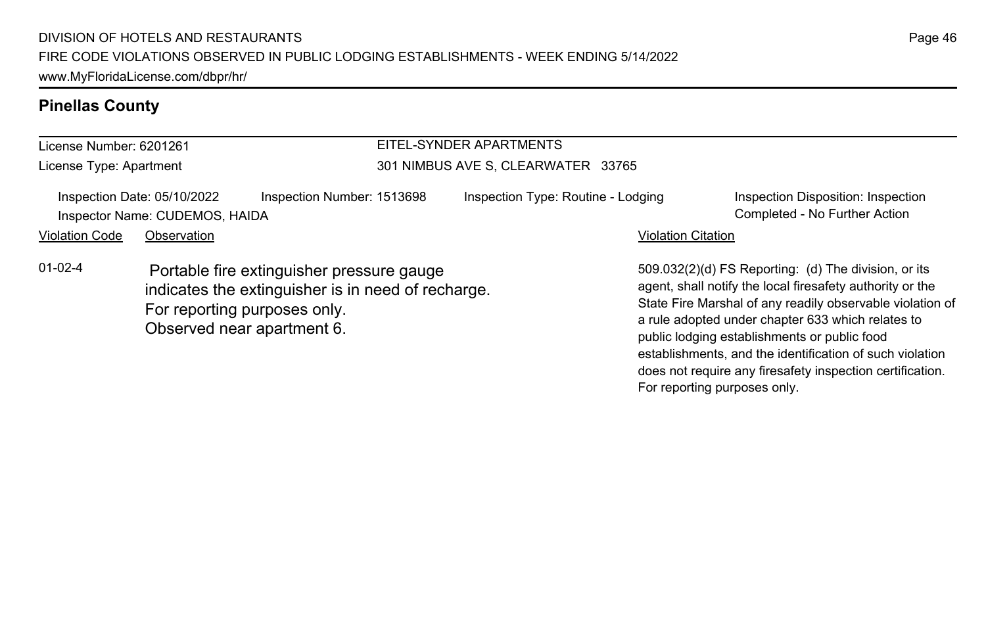#### License Number: 6201261 License Type: Apartment EITEL-SYNDER APARTMENTS 301 NIMBUS AVE S, CLEARWATER 33765 Inspection Date: 05/10/2022 Inspection Number: 1513698 Inspection Type: Routine - Lodging Inspection Disposition: Inspection Inspector Name: CUDEMOS, HAIDA Completed - No Further Action Violation Code Observation **Violation Code Observation** Violation Citation Citation Citation Citation Citation Citation Citation Citation Citation Citation Citation Citation Citation Citation Citation Citation Citation Cit 509.032(2)(d) FS Reporting: (d) The division, or its agent, shall notify the local firesafety authority or the State Fire Marshal of any readily observable violation of a rule adopted under chapter 633 which relates to public lodging establishments or public food 01-02-4 Portable fire extinguisher pressure gauge indicates the extinguisher is in need of recharge. For reporting purposes only. Observed near apartment 6.

establishments, and the identification of such violation does not require any firesafety inspection certification.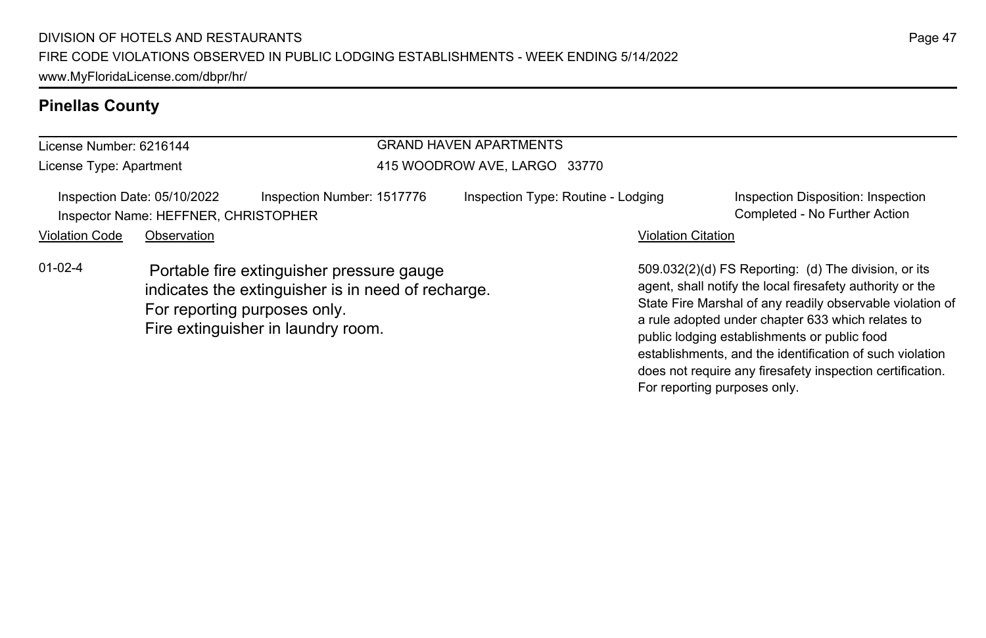#### License Number: 6216144 License Type: Apartment GRAND HAVEN APARTMENTS 415 WOODROW AVE, LARGO 33770 Inspection Date: 05/10/2022 Inspection Number: 1517776 Inspection Type: Routine - Lodging Inspection Disposition: Inspection Inspector Name: HEFFNER, CHRISTOPHER COMPLETED FOR COMPLETED SAME COMPLETED FOR THE COMPLETED FOR THE COMPLETED FOR THE COMPLETED FOR THE COMPLETED FOR COMPLETED FOR COMPLETED FOR COMPLETED FOR COMPLETED FOR COMPLETED FOR Violation Code Observation **Violation Code Observation** Violation Citation Citation Citation Citation Citation Citation Citation Citation Citation Citation Citation Citation Citation Citation Citation Citation Citation Cit 509.032(2)(d) FS Reporting: (d) The division, or its agent, shall notify the local firesafety authority or the State Fire Marshal of any readily observable violation of a rule adopted under chapter 633 which relates to public lodging establishments or public food 01-02-4 Portable fire extinguisher pressure gauge indicates the extinguisher is in need of recharge. For reporting purposes only. Fire extinguisher in laundry room.

establishments, and the identification of such violation does not require any firesafety inspection certification.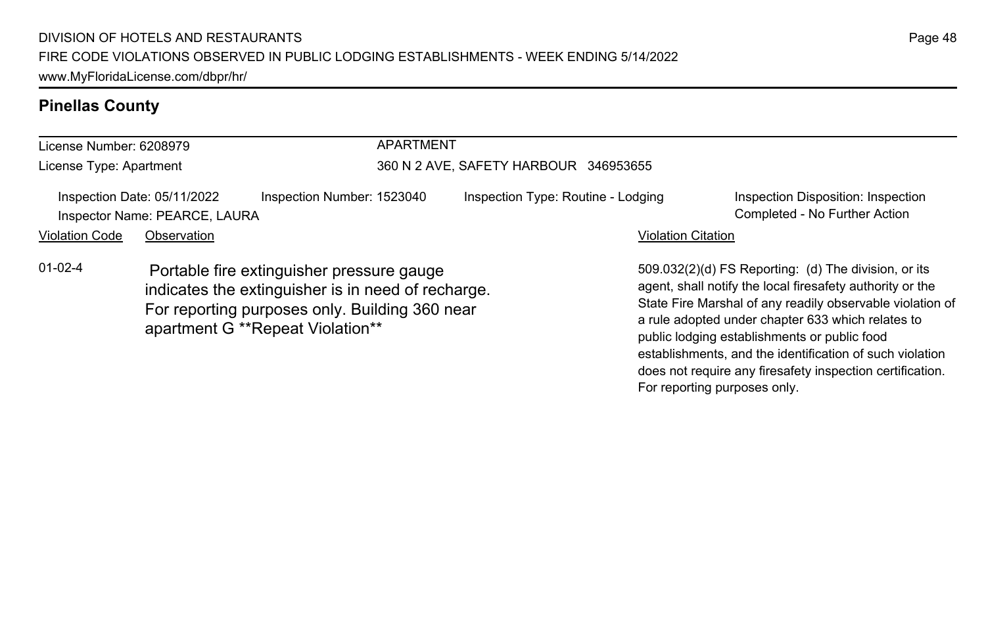#### License Number: 6208979 License Type: Apartment APARTMENT 360 N 2 AVE, SAFETY HARBOUR 346953655 Inspection Date: 05/11/2022 Inspection Number: 1523040 Inspection Type: Routine - Lodging Inspection Disposition: Inspection Inspector Name: PEARCE, LAURA Completed - No Further Action Violation Code Observation **Violation Code Observation** Violation Citation Citation Citation Citation Citation Citation Citation Citation Citation Citation Citation Citation Citation Citation Citation Citation Citation Cit 509.032(2)(d) FS Reporting: (d) The division, or its agent, shall notify the local firesafety authority or the State Fire Marshal of any readily observable violation of a rule adopted under chapter 633 which relates to public lodging establishments or public food 01-02-4 Portable fire extinguisher pressure gauge indicates the extinguisher is in need of recharge. For reporting purposes only. Building 360 near apartment G \*\*Repeat Violation\*\*

establishments, and the identification of such violation does not require any firesafety inspection certification.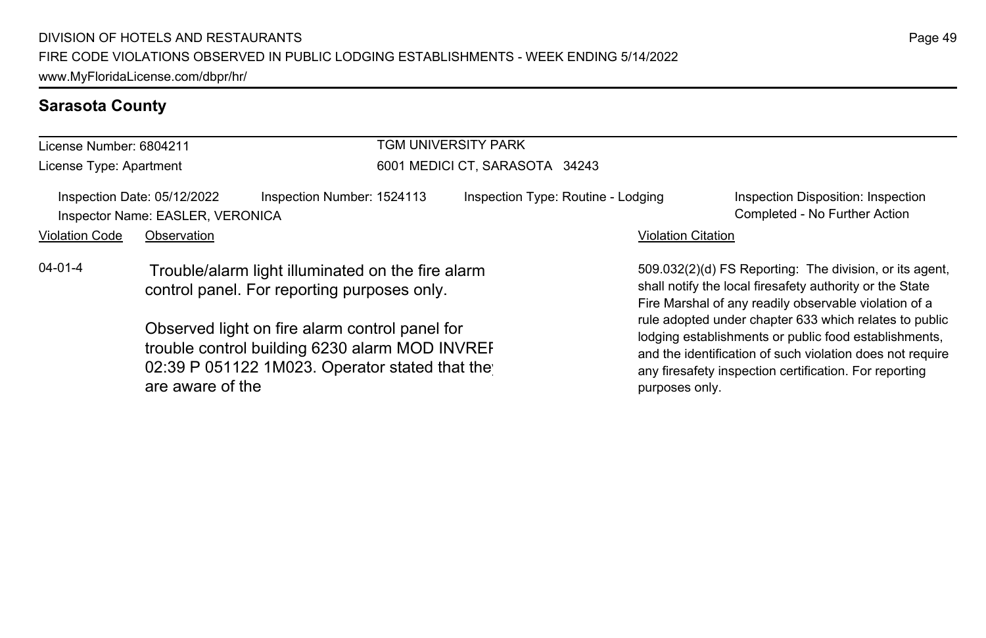### **Sarasota County**

| License Number: 6804211 |                                                                 | TGM UNIVERSITY PARK                                                                                                                                |                                    |                                                                                                                                                                                                                                                          |                                                                     |  |
|-------------------------|-----------------------------------------------------------------|----------------------------------------------------------------------------------------------------------------------------------------------------|------------------------------------|----------------------------------------------------------------------------------------------------------------------------------------------------------------------------------------------------------------------------------------------------------|---------------------------------------------------------------------|--|
| License Type: Apartment |                                                                 |                                                                                                                                                    | 6001 MEDICI CT, SARASOTA 34243     |                                                                                                                                                                                                                                                          |                                                                     |  |
|                         | Inspection Date: 05/12/2022<br>Inspector Name: EASLER, VERONICA | Inspection Number: 1524113                                                                                                                         | Inspection Type: Routine - Lodging |                                                                                                                                                                                                                                                          | Inspection Disposition: Inspection<br>Completed - No Further Action |  |
| <b>Violation Code</b>   | Observation                                                     |                                                                                                                                                    |                                    | <b>Violation Citation</b>                                                                                                                                                                                                                                |                                                                     |  |
| $04 - 01 - 4$           |                                                                 | Trouble/alarm light illuminated on the fire alarm<br>control panel. For reporting purposes only.                                                   |                                    | 509.032(2)(d) FS Reporting: The division, or its agent,<br>shall notify the local firesafety authority or the State<br>Fire Marshal of any readily observable violation of a                                                                             |                                                                     |  |
|                         | are aware of the                                                | Observed light on fire alarm control panel for<br>trouble control building 6230 alarm MOD INVREF<br>02:39 P 051122 1M023. Operator stated that the |                                    | rule adopted under chapter 633 which relates to public<br>lodging establishments or public food establishments,<br>and the identification of such violation does not require<br>any firesafety inspection certification. For reporting<br>purposes only. |                                                                     |  |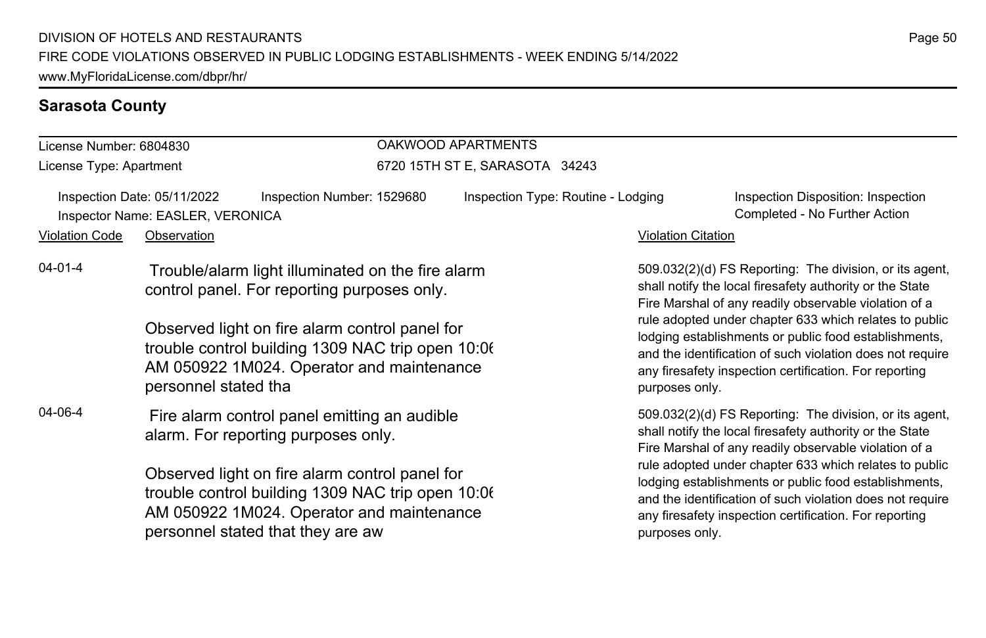#### **Sarasota County**

#### License Number: 6804830 License Type: Apartment OAKWOOD APARTMENTS 6720 15TH ST E, SARASOTA 34243 Inspection Date: 05/11/2022 Inspection Number: 1529680 Inspection Type: Routine - Lodging Inspection Disposition: Inspection Inspector Name: EASLER, VERONICA Completed - No Further Action Violation Code Observation **Violation Code** Observation **Violation** Violation Citation Citation Citation Citation 509.032(2)(d) FS Reporting: The division, or its agent, shall notify the local firesafety authority or the State Fire Marshal of any readily observable violation of a rule adopted under chapter 633 which relates to public lodging establishments or public food establishments, and the identification of such violation does not require any firesafety inspection certification. For reporting purposes only. 04-01-4 Trouble/alarm light illuminated on the fire alarm control panel. For reporting purposes only. Observed light on fire alarm control panel for trouble control building 1309 NAC trip open 10:06 AM 050922 1M024. Operator and maintenance personnel stated tha 509.032(2)(d) FS Reporting: The division, or its agent, shall notify the local firesafety authority or the State Fire Marshal of any readily observable violation of a rule adopted under chapter 633 which relates to public lodging establishments or public food establishments, and the identification of such violation does not require any firesafety inspection certification. For reporting purposes only. 04-06-4 Fire alarm control panel emitting an audible alarm. For reporting purposes only. Observed light on fire alarm control panel for trouble control building 1309 NAC trip open 10:06 AM 050922 1M024. Operator and maintenance personnel stated that they are aw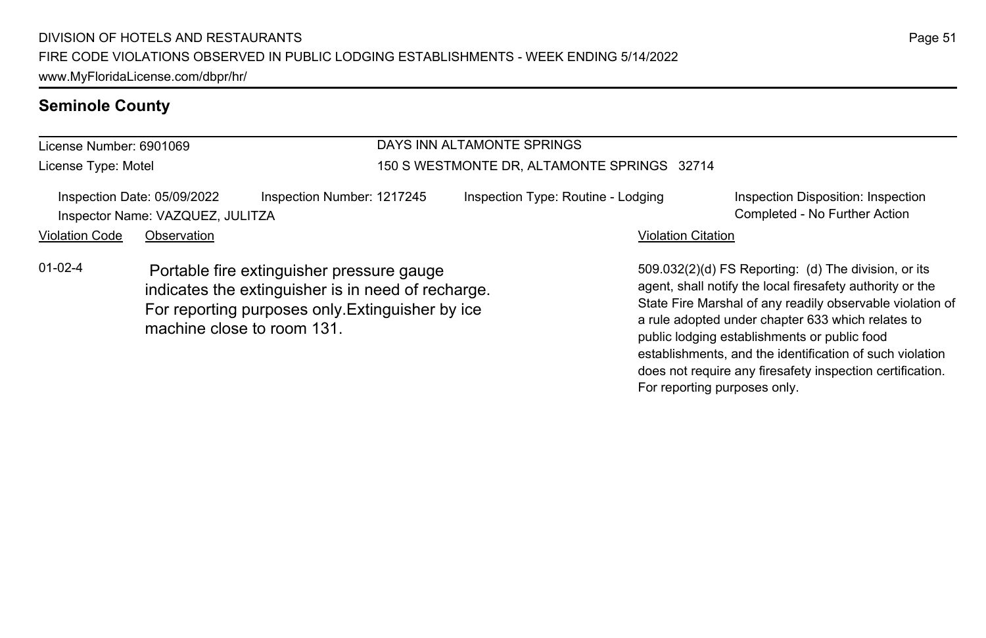#### **Seminole County**

#### License Number: 6901069 License Type: Motel DAYS INN ALTAMONTE SPRINGS 150 S WESTMONTE DR, ALTAMONTE SPRINGS 32714 Inspection Date: 05/09/2022 Inspection Number: 1217245 Inspection Type: Routine - Lodging Inspection Disposition: Inspection Inspector Name: VAZQUEZ, JULITZA Completed - No Further Action Violation Code Observation **Violation Code** Observation **Violation** Violation Citation Citation Citation Citation 509.032(2)(d) FS Reporting: (d) The division, or its agent, shall notify the local firesafety authority or the 01-02-4 Portable fire extinguisher pressure gauge indicates the extinguisher is in need of recharge. For reporting purposes only.Extinguisher by ice

machine close to room 131.

State Fire Marshal of any readily observable violation of a rule adopted under chapter 633 which relates to public lodging establishments or public food establishments, and the identification of such violation does not require any firesafety inspection certification. For reporting purposes only.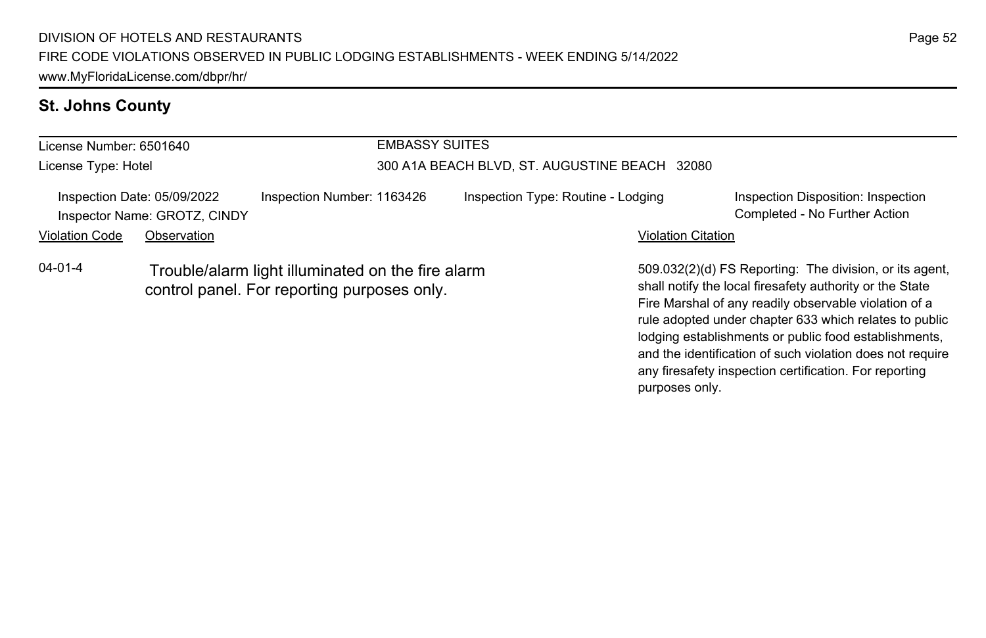### **St. Johns County**

| License Number: 6501640 |                                                                                                  |                            | <b>EMBASSY SUITES</b> |                                               |                           |                                                                                                                                                                                                                                                                                                 |  |
|-------------------------|--------------------------------------------------------------------------------------------------|----------------------------|-----------------------|-----------------------------------------------|---------------------------|-------------------------------------------------------------------------------------------------------------------------------------------------------------------------------------------------------------------------------------------------------------------------------------------------|--|
| License Type: Hotel     |                                                                                                  |                            |                       | 300 A1A BEACH BLVD, ST. AUGUSTINE BEACH 32080 |                           |                                                                                                                                                                                                                                                                                                 |  |
|                         | Inspection Date: 05/09/2022<br>Inspector Name: GROTZ, CINDY                                      | Inspection Number: 1163426 |                       | Inspection Type: Routine - Lodging            |                           | Inspection Disposition: Inspection<br>Completed - No Further Action                                                                                                                                                                                                                             |  |
| <b>Violation Code</b>   | Observation                                                                                      |                            |                       |                                               | <b>Violation Citation</b> |                                                                                                                                                                                                                                                                                                 |  |
| $04 - 01 - 4$           | Trouble/alarm light illuminated on the fire alarm<br>control panel. For reporting purposes only. |                            |                       |                                               |                           | 509.032(2)(d) FS Reporting: The division, or its agent,<br>shall notify the local firesafety authority or the State<br>Fire Marshal of any readily observable violation of a<br>rule adopted under chapter 633 which relates to public<br>lodging establishments or public food establishments, |  |

Page 52

and the identification of such violation does not require any firesafety inspection certification. For reporting